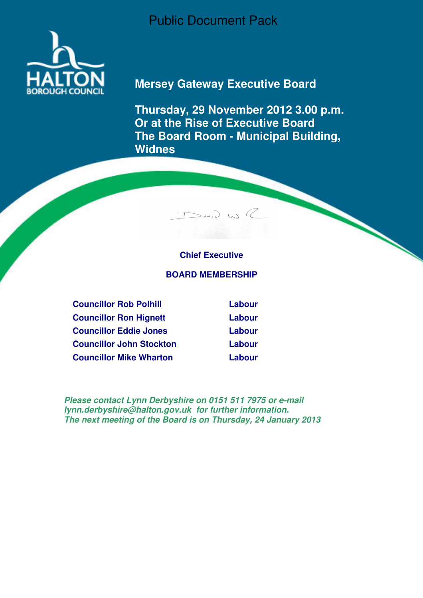Public Document Pack



# **Mersey Gateway Executive Board**

**Thursday, 29 November 2012 3.00 p.m. Or at the Rise of Executive Board The Board Room - Municipal Building, Widnes** 

# **Chief Executive**

 $>_{\alpha\alpha}$ ,  $>_{\alpha\gamma}$ 

#### **BOARD MEMBERSHIP**

**Councillor Rob Polhill Labour Councillor Ron Hignett Labour Councillor Eddie Jones Labour Councillor John Stockton Labour Councillor Mike Wharton Labour** 

**Please contact Lynn Derbyshire on 0151 511 7975 or e-mail lynn.derbyshire@halton.gov.uk for further information. The next meeting of the Board is on Thursday, 24 January 2013**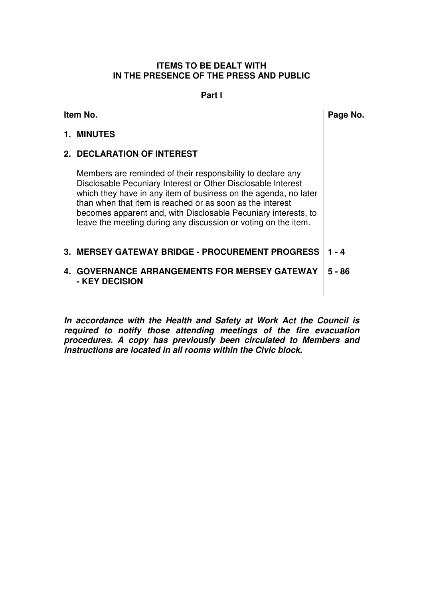#### **ITEMS TO BE DEALT WITH IN THE PRESENCE OF THE PRESS AND PUBLIC**

#### **Part l**

| Item No. |                                                                                                                                                                                                                                                                                                                                                                                                 | Page No. |
|----------|-------------------------------------------------------------------------------------------------------------------------------------------------------------------------------------------------------------------------------------------------------------------------------------------------------------------------------------------------------------------------------------------------|----------|
|          | 1. MINUTES                                                                                                                                                                                                                                                                                                                                                                                      |          |
|          | <b>2. DECLARATION OF INTEREST</b>                                                                                                                                                                                                                                                                                                                                                               |          |
|          | Members are reminded of their responsibility to declare any<br>Disclosable Pecuniary Interest or Other Disclosable Interest<br>which they have in any item of business on the agenda, no later<br>than when that item is reached or as soon as the interest<br>becomes apparent and, with Disclosable Pecuniary interests, to<br>leave the meeting during any discussion or voting on the item. |          |
|          | <b>3. MERSEY GATEWAY BRIDGE - PROCUREMENT PROGRESS</b>                                                                                                                                                                                                                                                                                                                                          | $1 - 4$  |
|          | <b>4. GOVERNANCE ARRANGEMENTS FOR MERSEY GATEWAY</b><br>- KEY DECISION                                                                                                                                                                                                                                                                                                                          | 5 - 86   |
|          |                                                                                                                                                                                                                                                                                                                                                                                                 |          |

**In accordance with the Health and Safety at Work Act the Council is required to notify those attending meetings of the fire evacuation procedures. A copy has previously been circulated to Members and instructions are located in all rooms within the Civic block.**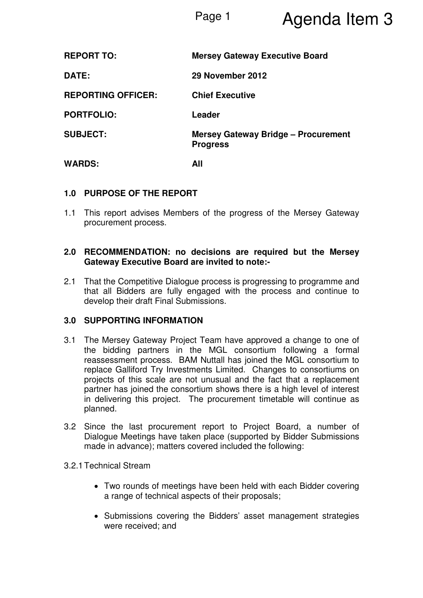# Page 1 **Agenda Item 3**

| <b>REPORT TO:</b>         | <b>Mersey Gateway Executive Board</b>                         |
|---------------------------|---------------------------------------------------------------|
| DATE:                     | 29 November 2012                                              |
| <b>REPORTING OFFICER:</b> | <b>Chief Executive</b>                                        |
| <b>PORTFOLIO:</b>         | Leader                                                        |
| <b>SUBJECT:</b>           | <b>Mersey Gateway Bridge - Procurement</b><br><b>Progress</b> |
| <b>WARDS:</b>             | All                                                           |

# **1.0 PURPOSE OF THE REPORT**

1.1 This report advises Members of the progress of the Mersey Gateway procurement process.

### **2.0 RECOMMENDATION: no decisions are required but the Mersey Gateway Executive Board are invited to note:-**

2.1 That the Competitive Dialogue process is progressing to programme and that all Bidders are fully engaged with the process and continue to develop their draft Final Submissions.

# **3.0 SUPPORTING INFORMATION**

- 3.1 The Mersey Gateway Project Team have approved a change to one of the bidding partners in the MGL consortium following a formal reassessment process. BAM Nuttall has joined the MGL consortium to replace Galliford Try Investments Limited. Changes to consortiums on projects of this scale are not unusual and the fact that a replacement partner has joined the consortium shows there is a high level of interest in delivering this project. The procurement timetable will continue as planned.
- 3.2 Since the last procurement report to Project Board, a number of Dialogue Meetings have taken place (supported by Bidder Submissions made in advance); matters covered included the following:

#### 3.2.1 Technical Stream

- Two rounds of meetings have been held with each Bidder covering a range of technical aspects of their proposals;
- Submissions covering the Bidders' asset management strategies were received; and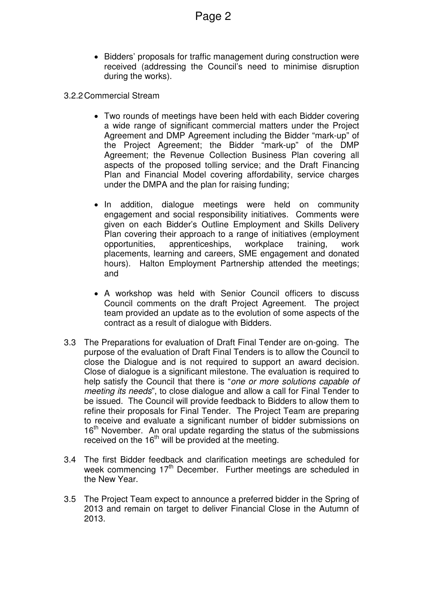- Bidders' proposals for traffic management during construction were received (addressing the Council's need to minimise disruption during the works).
- 3.2.2 Commercial Stream
	- Two rounds of meetings have been held with each Bidder covering a wide range of significant commercial matters under the Project Agreement and DMP Agreement including the Bidder "mark-up" of the Project Agreement; the Bidder "mark-up" of the DMP Agreement; the Revenue Collection Business Plan covering all aspects of the proposed tolling service; and the Draft Financing Plan and Financial Model covering affordability, service charges under the DMPA and the plan for raising funding;
	- In addition, dialogue meetings were held on community engagement and social responsibility initiatives. Comments were given on each Bidder's Outline Employment and Skills Delivery Plan covering their approach to a range of initiatives (employment opportunities, apprenticeships, workplace training, work placements, learning and careers, SME engagement and donated hours). Halton Employment Partnership attended the meetings; and
	- A workshop was held with Senior Council officers to discuss Council comments on the draft Project Agreement. The project team provided an update as to the evolution of some aspects of the contract as a result of dialogue with Bidders.
- 3.3 The Preparations for evaluation of Draft Final Tender are on-going. The purpose of the evaluation of Draft Final Tenders is to allow the Council to close the Dialogue and is not required to support an award decision. Close of dialogue is a significant milestone. The evaluation is required to help satisfy the Council that there is "one or more solutions capable of meeting its needs", to close dialogue and allow a call for Final Tender to be issued. The Council will provide feedback to Bidders to allow them to refine their proposals for Final Tender. The Project Team are preparing to receive and evaluate a significant number of bidder submissions on 16<sup>th</sup> November. An oral update regarding the status of the submissions received on the  $16<sup>th</sup>$  will be provided at the meeting.
- 3.4 The first Bidder feedback and clarification meetings are scheduled for week commencing  $17<sup>th</sup>$  December. Further meetings are scheduled in the New Year.
- 3.5 The Project Team expect to announce a preferred bidder in the Spring of 2013 and remain on target to deliver Financial Close in the Autumn of 2013.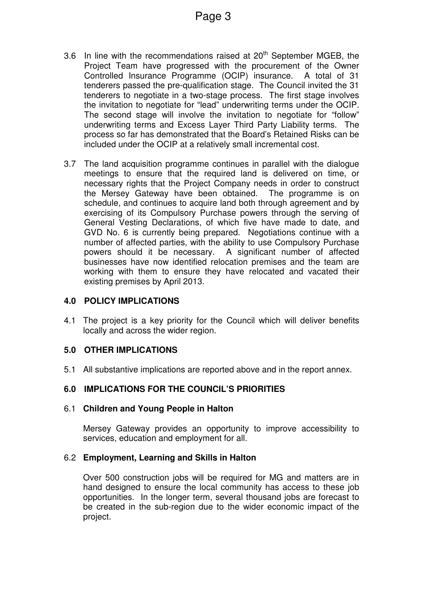- 3.6 In line with the recommendations raised at  $20<sup>th</sup>$  September MGEB, the Project Team have progressed with the procurement of the Owner Controlled Insurance Programme (OCIP) insurance. A total of 31 tenderers passed the pre-qualification stage. The Council invited the 31 tenderers to negotiate in a two-stage process. The first stage involves the invitation to negotiate for "lead" underwriting terms under the OCIP. The second stage will involve the invitation to negotiate for "follow" underwriting terms and Excess Layer Third Party Liability terms. The process so far has demonstrated that the Board's Retained Risks can be included under the OCIP at a relatively small incremental cost.
- 3.7 The land acquisition programme continues in parallel with the dialogue meetings to ensure that the required land is delivered on time, or necessary rights that the Project Company needs in order to construct the Mersey Gateway have been obtained. The programme is on schedule, and continues to acquire land both through agreement and by exercising of its Compulsory Purchase powers through the serving of General Vesting Declarations, of which five have made to date, and GVD No. 6 is currently being prepared. Negotiations continue with a number of affected parties, with the ability to use Compulsory Purchase powers should it be necessary. A significant number of affected businesses have now identified relocation premises and the team are working with them to ensure they have relocated and vacated their existing premises by April 2013.

# **4.0 POLICY IMPLICATIONS**

4.1 The project is a key priority for the Council which will deliver benefits locally and across the wider region.

#### **5.0 OTHER IMPLICATIONS**

5.1 All substantive implications are reported above and in the report annex.

#### **6.0 IMPLICATIONS FOR THE COUNCIL'S PRIORITIES**

#### 6.1 **Children and Young People in Halton**

Mersey Gateway provides an opportunity to improve accessibility to services, education and employment for all.

#### 6.2 **Employment, Learning and Skills in Halton**

Over 500 construction jobs will be required for MG and matters are in hand designed to ensure the local community has access to these job opportunities. In the longer term, several thousand jobs are forecast to be created in the sub-region due to the wider economic impact of the project.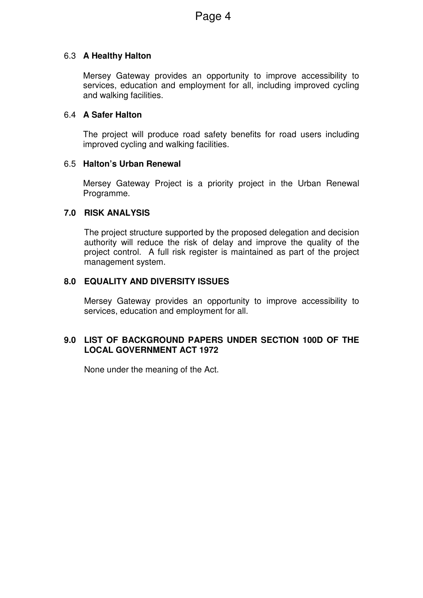# 6.3 **A Healthy Halton**

Mersey Gateway provides an opportunity to improve accessibility to services, education and employment for all, including improved cycling and walking facilities.

### 6.4 **A Safer Halton**

The project will produce road safety benefits for road users including improved cycling and walking facilities.

#### 6.5 **Halton's Urban Renewal**

Mersey Gateway Project is a priority project in the Urban Renewal Programme.

# **7.0 RISK ANALYSIS**

The project structure supported by the proposed delegation and decision authority will reduce the risk of delay and improve the quality of the project control. A full risk register is maintained as part of the project management system.

# **8.0 EQUALITY AND DIVERSITY ISSUES**

Mersey Gateway provides an opportunity to improve accessibility to services, education and employment for all.

# **9.0 LIST OF BACKGROUND PAPERS UNDER SECTION 100D OF THE LOCAL GOVERNMENT ACT 1972**

None under the meaning of the Act.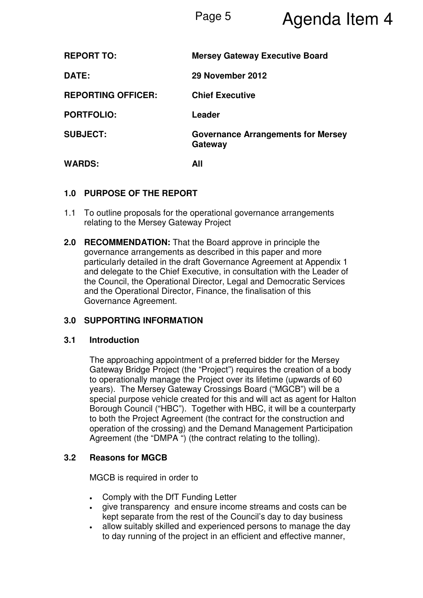# Page 5 **Agenda Item 4**

| <b>REPORT TO:</b>         | <b>Mersey Gateway Executive Board</b>                |
|---------------------------|------------------------------------------------------|
| DATE:                     | 29 November 2012                                     |
| <b>REPORTING OFFICER:</b> | <b>Chief Executive</b>                               |
| <b>PORTFOLIO:</b>         | Leader                                               |
| <b>SUBJECT:</b>           | <b>Governance Arrangements for Mersey</b><br>Gateway |
| <b>WARDS:</b>             | All                                                  |

# **1.0 PURPOSE OF THE REPORT**

- 1.1 To outline proposals for the operational governance arrangements relating to the Mersey Gateway Project
- **2.0 RECOMMENDATION:** That the Board approve in principle the governance arrangements as described in this paper and more particularly detailed in the draft Governance Agreement at Appendix 1 and delegate to the Chief Executive, in consultation with the Leader of the Council, the Operational Director, Legal and Democratic Services and the Operational Director, Finance, the finalisation of this Governance Agreement.

# **3.0 SUPPORTING INFORMATION**

#### **3.1 Introduction**

The approaching appointment of a preferred bidder for the Mersey Gateway Bridge Project (the "Project") requires the creation of a body to operationally manage the Project over its lifetime (upwards of 60 years). The Mersey Gateway Crossings Board ("MGCB") will be a special purpose vehicle created for this and will act as agent for Halton Borough Council ("HBC"). Together with HBC, it will be a counterparty to both the Project Agreement (the contract for the construction and operation of the crossing) and the Demand Management Participation Agreement (the "DMPA ") (the contract relating to the tolling).

# **3.2 Reasons for MGCB**

MGCB is required in order to

- Comply with the DfT Funding Letter
- give transparency and ensure income streams and costs can be kept separate from the rest of the Council's day to day business
- allow suitably skilled and experienced persons to manage the day to day running of the project in an efficient and effective manner,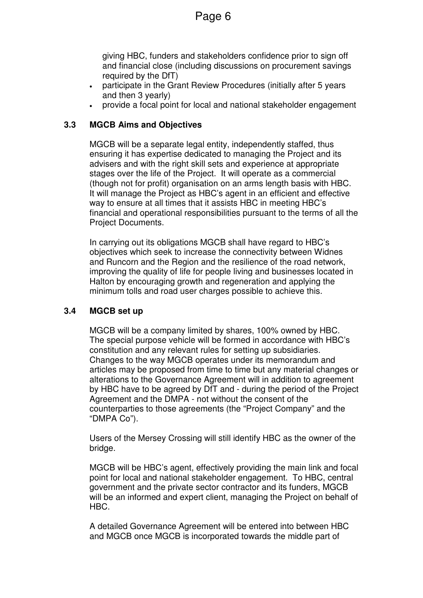giving HBC, funders and stakeholders confidence prior to sign off and financial close (including discussions on procurement savings required by the DfT)

- participate in the Grant Review Procedures (initially after 5 years and then 3 yearly)
- provide a focal point for local and national stakeholder engagement

# **3.3 MGCB Aims and Objectives**

MGCB will be a separate legal entity, independently staffed, thus ensuring it has expertise dedicated to managing the Project and its advisers and with the right skill sets and experience at appropriate stages over the life of the Project. It will operate as a commercial (though not for profit) organisation on an arms length basis with HBC. It will manage the Project as HBC's agent in an efficient and effective way to ensure at all times that it assists HBC in meeting HBC's financial and operational responsibilities pursuant to the terms of all the Project Documents.

In carrying out its obligations MGCB shall have regard to HBC's objectives which seek to increase the connectivity between Widnes and Runcorn and the Region and the resilience of the road network, improving the quality of life for people living and businesses located in Halton by encouraging growth and regeneration and applying the minimum tolls and road user charges possible to achieve this.

#### **3.4 MGCB set up**

MGCB will be a company limited by shares, 100% owned by HBC. The special purpose vehicle will be formed in accordance with HBC's constitution and any relevant rules for setting up subsidiaries. Changes to the way MGCB operates under its memorandum and articles may be proposed from time to time but any material changes or alterations to the Governance Agreement will in addition to agreement by HBC have to be agreed by DfT and - during the period of the Project Agreement and the DMPA - not without the consent of the counterparties to those agreements (the "Project Company" and the "DMPA Co").

Users of the Mersey Crossing will still identify HBC as the owner of the bridge.

MGCB will be HBC's agent, effectively providing the main link and focal point for local and national stakeholder engagement. To HBC, central government and the private sector contractor and its funders, MGCB will be an informed and expert client, managing the Project on behalf of HBC.

A detailed Governance Agreement will be entered into between HBC and MGCB once MGCB is incorporated towards the middle part of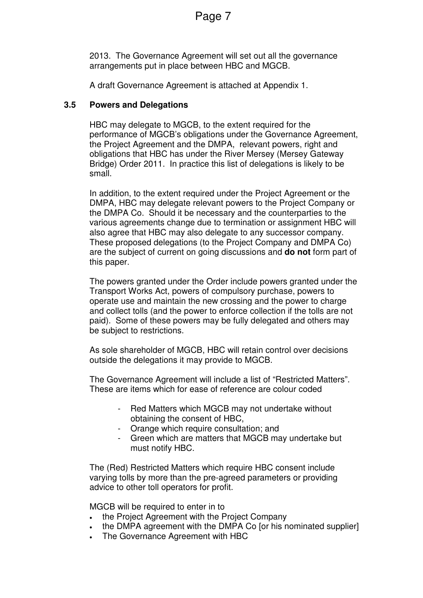2013. The Governance Agreement will set out all the governance arrangements put in place between HBC and MGCB.

A draft Governance Agreement is attached at Appendix 1.

# **3.5 Powers and Delegations**

HBC may delegate to MGCB, to the extent required for the performance of MGCB's obligations under the Governance Agreement, the Project Agreement and the DMPA, relevant powers, right and obligations that HBC has under the River Mersey (Mersey Gateway Bridge) Order 2011. In practice this list of delegations is likely to be small.

In addition, to the extent required under the Project Agreement or the DMPA, HBC may delegate relevant powers to the Project Company or the DMPA Co. Should it be necessary and the counterparties to the various agreements change due to termination or assignment HBC will also agree that HBC may also delegate to any successor company. These proposed delegations (to the Project Company and DMPA Co) are the subject of current on going discussions and **do not** form part of this paper.

The powers granted under the Order include powers granted under the Transport Works Act, powers of compulsory purchase, powers to operate use and maintain the new crossing and the power to charge and collect tolls (and the power to enforce collection if the tolls are not paid). Some of these powers may be fully delegated and others may be subject to restrictions.

As sole shareholder of MGCB, HBC will retain control over decisions outside the delegations it may provide to MGCB.

The Governance Agreement will include a list of "Restricted Matters". These are items which for ease of reference are colour coded

- Red Matters which MGCB may not undertake without obtaining the consent of HBC,
- Orange which require consultation; and
- Green which are matters that MGCB may undertake but must notify HBC.

The (Red) Restricted Matters which require HBC consent include varying tolls by more than the pre-agreed parameters or providing advice to other toll operators for profit.

MGCB will be required to enter in to

- the Project Agreement with the Project Company
- the DMPA agreement with the DMPA Co [or his nominated supplier]
- The Governance Agreement with HBC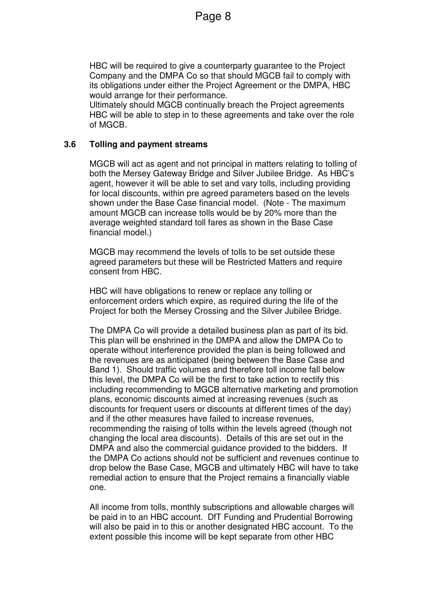HBC will be required to give a counterparty guarantee to the Project Company and the DMPA Co so that should MGCB fail to comply with its obligations under either the Project Agreement or the DMPA, HBC would arrange for their performance.

Ultimately should MGCB continually breach the Project agreements HBC will be able to step in to these agreements and take over the role of MGCB.

#### **3.6 Tolling and payment streams**

MGCB will act as agent and not principal in matters relating to tolling of both the Mersey Gateway Bridge and Silver Jubilee Bridge. As HBC's agent, however it will be able to set and vary tolls, including providing for local discounts, within pre agreed parameters based on the levels shown under the Base Case financial model. (Note - The maximum amount MGCB can increase tolls would be by 20% more than the average weighted standard toll fares as shown in the Base Case financial model.)

MGCB may recommend the levels of tolls to be set outside these agreed parameters but these will be Restricted Matters and require consent from HBC.

HBC will have obligations to renew or replace any tolling or enforcement orders which expire, as required during the life of the Project for both the Mersey Crossing and the Silver Jubilee Bridge.

The DMPA Co will provide a detailed business plan as part of its bid. This plan will be enshrined in the DMPA and allow the DMPA Co to operate without interference provided the plan is being followed and the revenues are as anticipated (being between the Base Case and Band 1). Should traffic volumes and therefore toll income fall below this level, the DMPA Co will be the first to take action to rectify this including recommending to MGCB alternative marketing and promotion plans, economic discounts aimed at increasing revenues (such as discounts for frequent users or discounts at different times of the day) and if the other measures have failed to increase revenues, recommending the raising of tolls within the levels agreed (though not changing the local area discounts). Details of this are set out in the DMPA and also the commercial guidance provided to the bidders. If the DMPA Co actions should not be sufficient and revenues continue to drop below the Base Case, MGCB and ultimately HBC will have to take remedial action to ensure that the Project remains a financially viable one.

All income from tolls, monthly subscriptions and allowable charges will be paid in to an HBC account. DfT Funding and Prudential Borrowing will also be paid in to this or another designated HBC account. To the extent possible this income will be kept separate from other HBC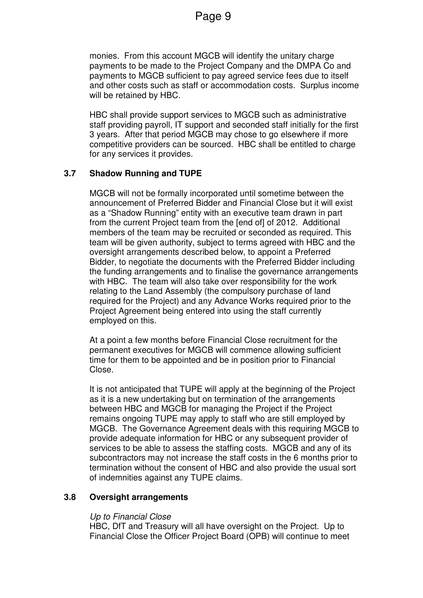monies. From this account MGCB will identify the unitary charge payments to be made to the Project Company and the DMPA Co and payments to MGCB sufficient to pay agreed service fees due to itself and other costs such as staff or accommodation costs. Surplus income will be retained by HBC.

HBC shall provide support services to MGCB such as administrative staff providing payroll, IT support and seconded staff initially for the first 3 years. After that period MGCB may chose to go elsewhere if more competitive providers can be sourced. HBC shall be entitled to charge for any services it provides.

# **3.7 Shadow Running and TUPE**

MGCB will not be formally incorporated until sometime between the announcement of Preferred Bidder and Financial Close but it will exist as a "Shadow Running" entity with an executive team drawn in part from the current Project team from the [end of] of 2012. Additional members of the team may be recruited or seconded as required. This team will be given authority, subject to terms agreed with HBC and the oversight arrangements described below, to appoint a Preferred Bidder, to negotiate the documents with the Preferred Bidder including the funding arrangements and to finalise the governance arrangements with HBC. The team will also take over responsibility for the work relating to the Land Assembly (the compulsory purchase of land required for the Project) and any Advance Works required prior to the Project Agreement being entered into using the staff currently employed on this.

At a point a few months before Financial Close recruitment for the permanent executives for MGCB will commence allowing sufficient time for them to be appointed and be in position prior to Financial Close.

It is not anticipated that TUPE will apply at the beginning of the Project as it is a new undertaking but on termination of the arrangements between HBC and MGCB for managing the Project if the Project remains ongoing TUPE may apply to staff who are still employed by MGCB. The Governance Agreement deals with this requiring MGCB to provide adequate information for HBC or any subsequent provider of services to be able to assess the staffing costs. MGCB and any of its subcontractors may not increase the staff costs in the 6 months prior to termination without the consent of HBC and also provide the usual sort of indemnities against any TUPE claims.

#### **3.8 Oversight arrangements**

#### Up to Financial Close

HBC, DfT and Treasury will all have oversight on the Project. Up to Financial Close the Officer Project Board (OPB) will continue to meet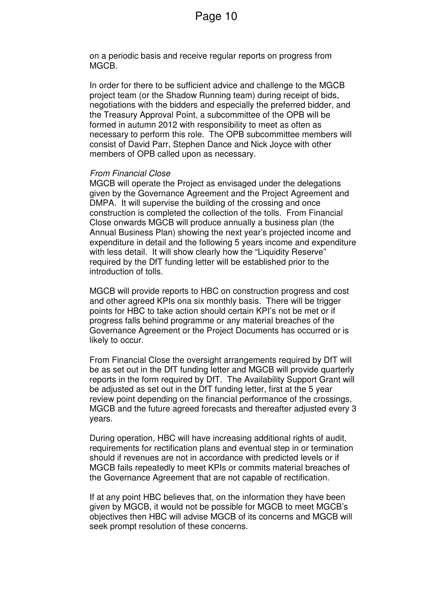on a periodic basis and receive regular reports on progress from MGCB.

In order for there to be sufficient advice and challenge to the MGCB project team (or the Shadow Running team) during receipt of bids, negotiations with the bidders and especially the preferred bidder, and the Treasury Approval Point, a subcommittee of the OPB will be formed in autumn 2012 with responsibility to meet as often as necessary to perform this role. The OPB subcommittee members will consist of David Parr, Stephen Dance and Nick Joyce with other members of OPB called upon as necessary.

#### From Financial Close

MGCB will operate the Project as envisaged under the delegations given by the Governance Agreement and the Project Agreement and DMPA. It will supervise the building of the crossing and once construction is completed the collection of the tolls. From Financial Close onwards MGCB will produce annually a business plan (the Annual Business Plan) showing the next year's projected income and expenditure in detail and the following 5 years income and expenditure with less detail. It will show clearly how the "Liquidity Reserve" required by the DfT funding letter will be established prior to the introduction of tolls.

MGCB will provide reports to HBC on construction progress and cost and other agreed KPIs ona six monthly basis. There will be trigger points for HBC to take action should certain KPI's not be met or if progress falls behind programme or any material breaches of the Governance Agreement or the Project Documents has occurred or is likely to occur.

From Financial Close the oversight arrangements required by DfT will be as set out in the DfT funding letter and MGCB will provide quarterly reports in the form required by DfT. The Availability Support Grant will be adjusted as set out in the DfT funding letter, first at the 5 year review point depending on the financial performance of the crossings, MGCB and the future agreed forecasts and thereafter adjusted every 3 years.

During operation, HBC will have increasing additional rights of audit, requirements for rectification plans and eventual step in or termination should if revenues are not in accordance with predicted levels or if MGCB fails repeatedly to meet KPIs or commits material breaches of the Governance Agreement that are not capable of rectification.

If at any point HBC believes that, on the information they have been given by MGCB, it would not be possible for MGCB to meet MGCB's objectives then HBC will advise MGCB of its concerns and MGCB will seek prompt resolution of these concerns.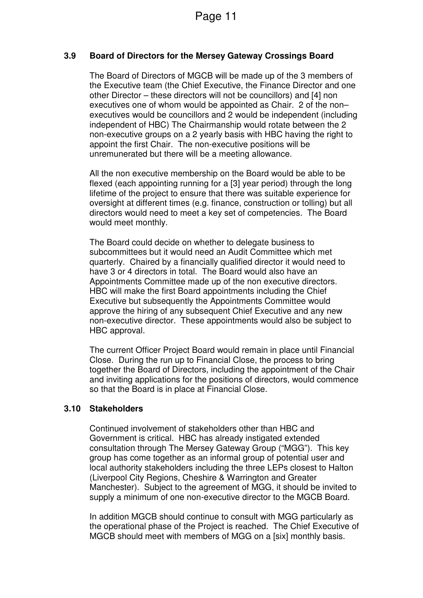# **3.9 Board of Directors for the Mersey Gateway Crossings Board**

The Board of Directors of MGCB will be made up of the 3 members of the Executive team (the Chief Executive, the Finance Director and one other Director – these directors will not be councillors) and [4] non executives one of whom would be appointed as Chair. 2 of the non– executives would be councillors and 2 would be independent (including independent of HBC) The Chairmanship would rotate between the 2 non-executive groups on a 2 yearly basis with HBC having the right to appoint the first Chair. The non-executive positions will be unremunerated but there will be a meeting allowance.

All the non executive membership on the Board would be able to be flexed (each appointing running for a [3] year period) through the long lifetime of the project to ensure that there was suitable experience for oversight at different times (e.g. finance, construction or tolling) but all directors would need to meet a key set of competencies. The Board would meet monthly.

The Board could decide on whether to delegate business to subcommittees but it would need an Audit Committee which met quarterly. Chaired by a financially qualified director it would need to have 3 or 4 directors in total. The Board would also have an Appointments Committee made up of the non executive directors. HBC will make the first Board appointments including the Chief Executive but subsequently the Appointments Committee would approve the hiring of any subsequent Chief Executive and any new non-executive director. These appointments would also be subject to HBC approval.

The current Officer Project Board would remain in place until Financial Close. During the run up to Financial Close, the process to bring together the Board of Directors, including the appointment of the Chair and inviting applications for the positions of directors, would commence so that the Board is in place at Financial Close.

#### **3.10 Stakeholders**

Continued involvement of stakeholders other than HBC and Government is critical. HBC has already instigated extended consultation through The Mersey Gateway Group ("MGG"). This key group has come together as an informal group of potential user and local authority stakeholders including the three LEPs closest to Halton (Liverpool City Regions, Cheshire & Warrington and Greater Manchester). Subject to the agreement of MGG, it should be invited to supply a minimum of one non-executive director to the MGCB Board.

In addition MGCB should continue to consult with MGG particularly as the operational phase of the Project is reached. The Chief Executive of MGCB should meet with members of MGG on a [six] monthly basis.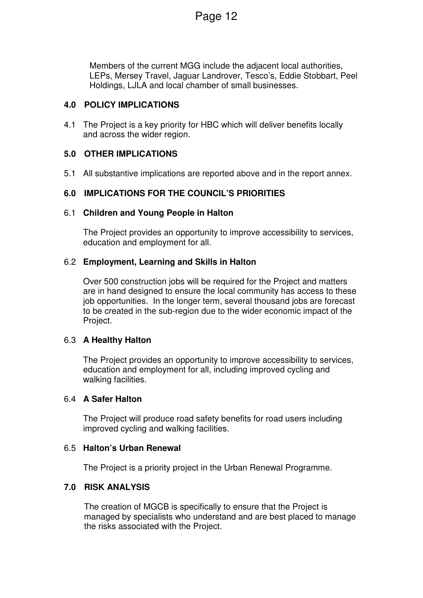Members of the current MGG include the adjacent local authorities, LEPs, Mersey Travel, Jaguar Landrover, Tesco's, Eddie Stobbart, Peel Holdings, LJLA and local chamber of small businesses.

# **4.0 POLICY IMPLICATIONS**

4.1 The Project is a key priority for HBC which will deliver benefits locally and across the wider region.

# **5.0 OTHER IMPLICATIONS**

5.1 All substantive implications are reported above and in the report annex.

# **6.0 IMPLICATIONS FOR THE COUNCIL'S PRIORITIES**

# 6.1 **Children and Young People in Halton**

The Project provides an opportunity to improve accessibility to services, education and employment for all.

# 6.2 **Employment, Learning and Skills in Halton**

Over 500 construction jobs will be required for the Project and matters are in hand designed to ensure the local community has access to these job opportunities. In the longer term, several thousand jobs are forecast to be created in the sub-region due to the wider economic impact of the Project.

#### 6.3 **A Healthy Halton**

The Project provides an opportunity to improve accessibility to services, education and employment for all, including improved cycling and walking facilities.

#### 6.4 **A Safer Halton**

The Project will produce road safety benefits for road users including improved cycling and walking facilities.

#### 6.5 **Halton's Urban Renewal**

The Project is a priority project in the Urban Renewal Programme.

# **7.0 RISK ANALYSIS**

The creation of MGCB is specifically to ensure that the Project is managed by specialists who understand and are best placed to manage the risks associated with the Project.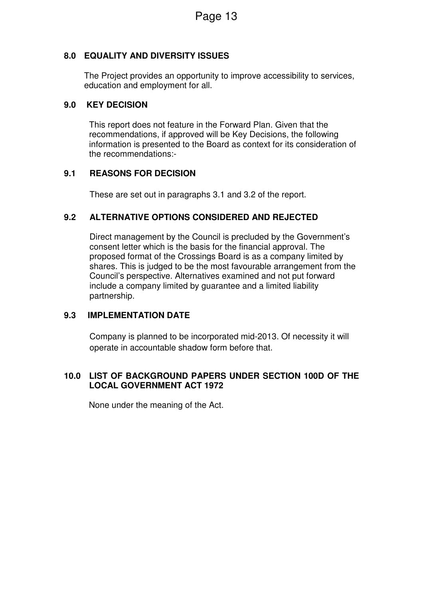# **8.0 EQUALITY AND DIVERSITY ISSUES**

The Project provides an opportunity to improve accessibility to services, education and employment for all.

# **9.0 KEY DECISION**

This report does not feature in the Forward Plan. Given that the recommendations, if approved will be Key Decisions, the following information is presented to the Board as context for its consideration of the recommendations:-

# **9.1 REASONS FOR DECISION**

These are set out in paragraphs 3.1 and 3.2 of the report.

# **9.2 ALTERNATIVE OPTIONS CONSIDERED AND REJECTED**

Direct management by the Council is precluded by the Government's consent letter which is the basis for the financial approval. The proposed format of the Crossings Board is as a company limited by shares. This is judged to be the most favourable arrangement from the Council's perspective. Alternatives examined and not put forward include a company limited by guarantee and a limited liability partnership.

# **9.3 IMPLEMENTATION DATE**

Company is planned to be incorporated mid-2013. Of necessity it will operate in accountable shadow form before that.

# **10.0 LIST OF BACKGROUND PAPERS UNDER SECTION 100D OF THE LOCAL GOVERNMENT ACT 1972**

None under the meaning of the Act.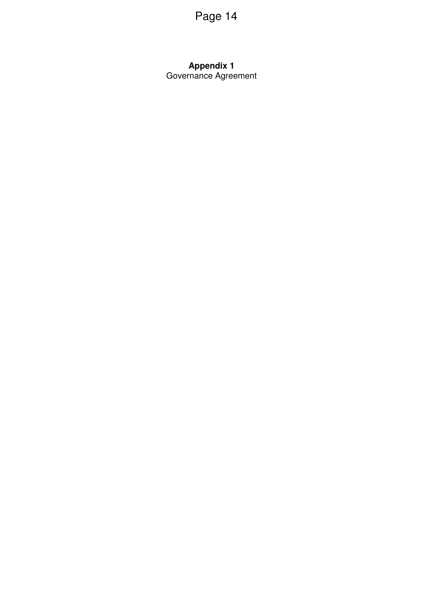### **Appendix 1**  Governance Agreement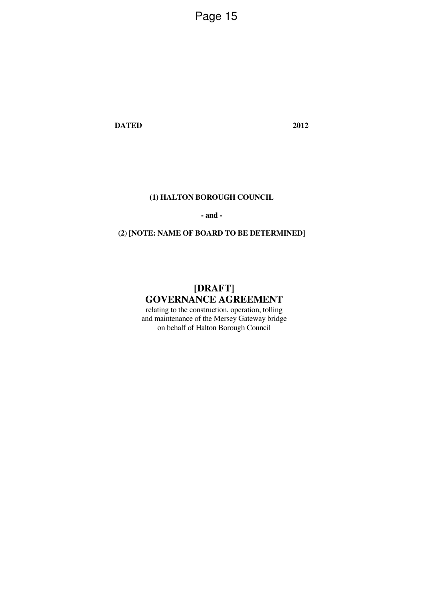**DATED 2012** 

#### **(1) HALTON BOROUGH COUNCIL**

**- and -** 

# **(2) [NOTE: NAME OF BOARD TO BE DETERMINED]**

# **[DRAFT] GOVERNANCE AGREEMENT**

relating to the construction, operation, tolling and maintenance of the Mersey Gateway bridge on behalf of Halton Borough Council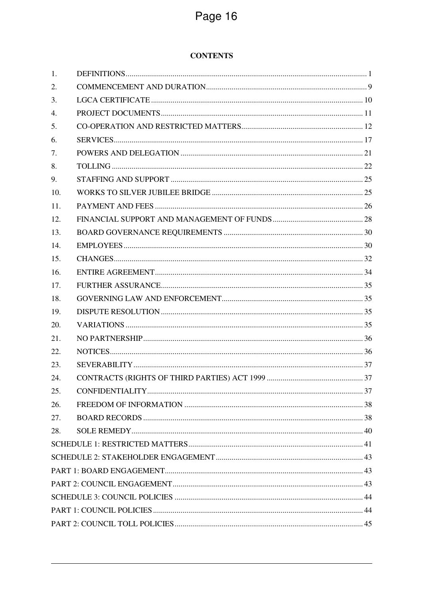# **CONTENTS**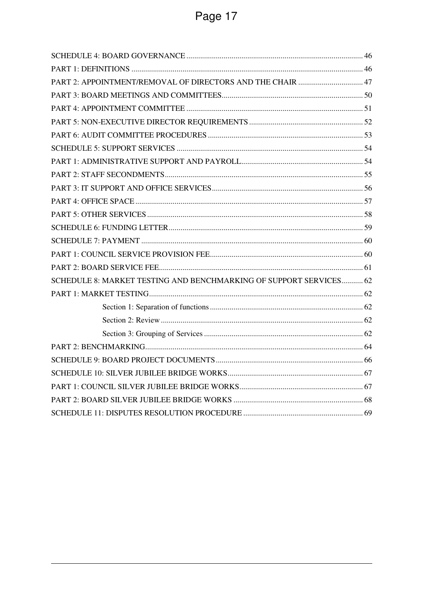| PART 2: APPOINTMENT/REMOVAL OF DIRECTORS AND THE CHAIR  47         |  |
|--------------------------------------------------------------------|--|
|                                                                    |  |
|                                                                    |  |
|                                                                    |  |
|                                                                    |  |
|                                                                    |  |
|                                                                    |  |
|                                                                    |  |
|                                                                    |  |
|                                                                    |  |
|                                                                    |  |
|                                                                    |  |
|                                                                    |  |
|                                                                    |  |
|                                                                    |  |
| SCHEDULE 8: MARKET TESTING AND BENCHMARKING OF SUPPORT SERVICES 62 |  |
|                                                                    |  |
|                                                                    |  |
|                                                                    |  |
|                                                                    |  |
|                                                                    |  |
|                                                                    |  |
|                                                                    |  |
|                                                                    |  |
|                                                                    |  |
|                                                                    |  |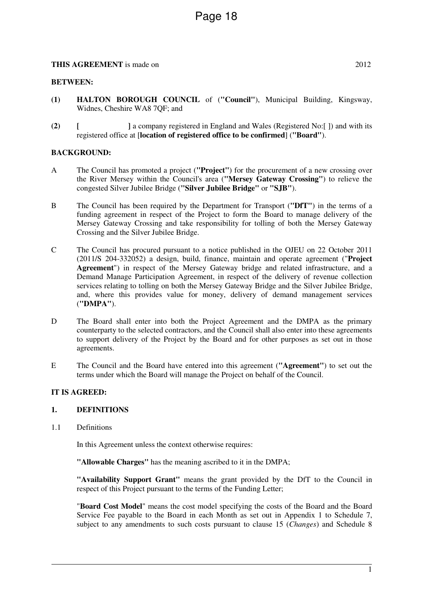#### **BETWEEN:**

- **(1) HALTON BOROUGH COUNCIL** of (**"Council"**), Municipal Building, Kingsway, Widnes, Cheshire WA8 7QF; and
- **(2) [ ]** a company registered in England and Wales (Registered No:[ ]) and with its registered office at [**location of registered office to be confirmed**] (**"Board"**).

#### **BACKGROUND:**

- A The Council has promoted a project (**"Project"**) for the procurement of a new crossing over the River Mersey within the Council's area (**"Mersey Gateway Crossing"**) to relieve the congested Silver Jubilee Bridge (**"Silver Jubilee Bridge"** or **"SJB"**).
- B The Council has been required by the Department for Transport (**"DfT"**) in the terms of a funding agreement in respect of the Project to form the Board to manage delivery of the Mersey Gateway Crossing and take responsibility for tolling of both the Mersey Gateway Crossing and the Silver Jubilee Bridge.
- C The Council has procured pursuant to a notice published in the OJEU on 22 October 2011 (2011/S 204-332052) a design, build, finance, maintain and operate agreement ("**Project Agreement**") in respect of the Mersey Gateway bridge and related infrastructure, and a Demand Manage Participation Agreement, in respect of the delivery of revenue collection services relating to tolling on both the Mersey Gateway Bridge and the Silver Jubilee Bridge, and, where this provides value for money, delivery of demand management services (**"DMPA"**).
- D The Board shall enter into both the Project Agreement and the DMPA as the primary counterparty to the selected contractors, and the Council shall also enter into these agreements to support delivery of the Project by the Board and for other purposes as set out in those agreements.
- E The Council and the Board have entered into this agreement (**"Agreement"**) to set out the terms under which the Board will manage the Project on behalf of the Council.

#### **IT IS AGREED:**

#### **1. DEFINITIONS**

1.1 Definitions

In this Agreement unless the context otherwise requires:

**"Allowable Charges"** has the meaning ascribed to it in the DMPA;

**"Availability Support Grant"** means the grant provided by the DfT to the Council in respect of this Project pursuant to the terms of the Funding Letter;

"**Board Cost Model**" means the cost model specifying the costs of the Board and the Board Service Fee payable to the Board in each Month as set out in Appendix 1 to Schedule 7, subject to any amendments to such costs pursuant to clause 15 (*Changes*) and Schedule 8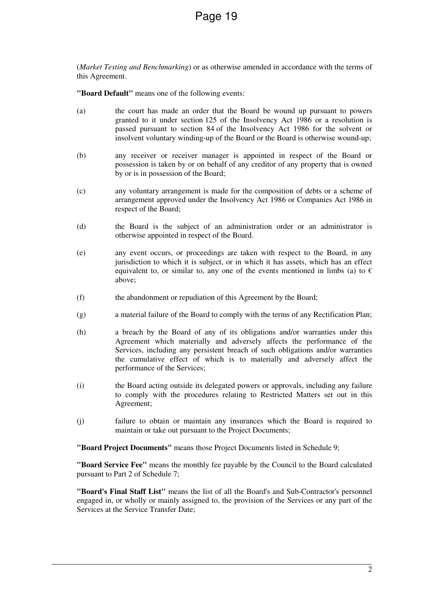(*Market Testing and Benchmarking*) or as otherwise amended in accordance with the terms of this Agreement.

**"Board Default"** means one of the following events:

- (a) the court has made an order that the Board be wound up pursuant to powers granted to it under section 125 of the Insolvency Act 1986 or a resolution is passed pursuant to section 84 of the Insolvency Act 1986 for the solvent or insolvent voluntary winding-up of the Board or the Board is otherwise wound-up;
- (b) any receiver or receiver manager is appointed in respect of the Board or possession is taken by or on behalf of any creditor of any property that is owned by or is in possession of the Board;
- (c) any voluntary arrangement is made for the composition of debts or a scheme of arrangement approved under the Insolvency Act 1986 or Companies Act 1986 in respect of the Board;
- (d) the Board is the subject of an administration order or an administrator is otherwise appointed in respect of the Board.
- (e) any event occurs, or proceedings are taken with respect to the Board, in any jurisdiction to which it is subject, or in which it has assets, which has an effect equivalent to, or similar to, any one of the events mentioned in limbs (a) to  $\epsilon$ above;
- (f) the abandonment or repudiation of this Agreement by the Board;
- (g) a material failure of the Board to comply with the terms of any Rectification Plan;
- (h) a breach by the Board of any of its obligations and/or warranties under this Agreement which materially and adversely affects the performance of the Services, including any persistent breach of such obligations and/or warranties the cumulative effect of which is to materially and adversely affect the performance of the Services;
- (i) the Board acting outside its delegated powers or approvals, including any failure to comply with the procedures relating to Restricted Matters set out in this Agreement;
- (j) failure to obtain or maintain any insurances which the Board is required to maintain or take out pursuant to the Project Documents;

**"Board Project Documents"** means those Project Documents listed in Schedule 9;

**"Board Service Fee"** means the monthly fee payable by the Council to the Board calculated pursuant to Part 2 of Schedule 7;

**"Board's Final Staff List"** means the list of all the Board's and Sub-Contractor's personnel engaged in, or wholly or mainly assigned to, the provision of the Services or any part of the Services at the Service Transfer Date;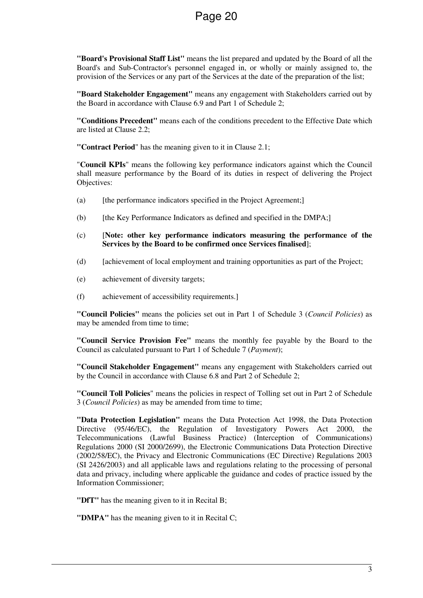**"Board's Provisional Staff List"** means the list prepared and updated by the Board of all the Board's and Sub-Contractor's personnel engaged in, or wholly or mainly assigned to, the provision of the Services or any part of the Services at the date of the preparation of the list;

**"Board Stakeholder Engagement"** means any engagement with Stakeholders carried out by the Board in accordance with Clause 6.9 and Part 1 of Schedule 2;

**"Conditions Precedent"** means each of the conditions precedent to the Effective Date which are listed at Clause 2.2;

**"Contract Period**" has the meaning given to it in Clause 2.1;

"**Council KPIs**" means the following key performance indicators against which the Council shall measure performance by the Board of its duties in respect of delivering the Project Objectives:

- (a) [the performance indicators specified in the Project Agreement;]
- $(b)$  [the Key Performance Indicators as defined and specified in the DMPA;]
- (c) [**Note: other key performance indicators measuring the performance of the Services by the Board to be confirmed once Services finalised**];
- (d) [achievement of local employment and training opportunities as part of the Project;
- (e) achievement of diversity targets;
- (f) achievement of accessibility requirements.]

**"Council Policies"** means the policies set out in Part 1 of Schedule 3 (*Council Policies*) as may be amended from time to time;

**"Council Service Provision Fee"** means the monthly fee payable by the Board to the Council as calculated pursuant to Part 1 of Schedule 7 (*Payment*);

**"Council Stakeholder Engagement"** means any engagement with Stakeholders carried out by the Council in accordance with Clause 6.8 and Part 2 of Schedule 2;

**"Council Toll Policies**" means the policies in respect of Tolling set out in Part 2 of Schedule 3 (*Council Policies*) as may be amended from time to time;

**"Data Protection Legislation"** means the Data Protection Act 1998, the Data Protection Directive (95/46/EC), the Regulation of Investigatory Powers Act 2000, the Telecommunications (Lawful Business Practice) (Interception of Communications) Regulations 2000 (SI 2000/2699), the Electronic Communications Data Protection Directive (2002/58/EC), the Privacy and Electronic Communications (EC Directive) Regulations 2003 (SI 2426/2003) and all applicable laws and regulations relating to the processing of personal data and privacy, including where applicable the guidance and codes of practice issued by the Information Commissioner;

**"DfT"** has the meaning given to it in Recital B;

**"DMPA"** has the meaning given to it in Recital C;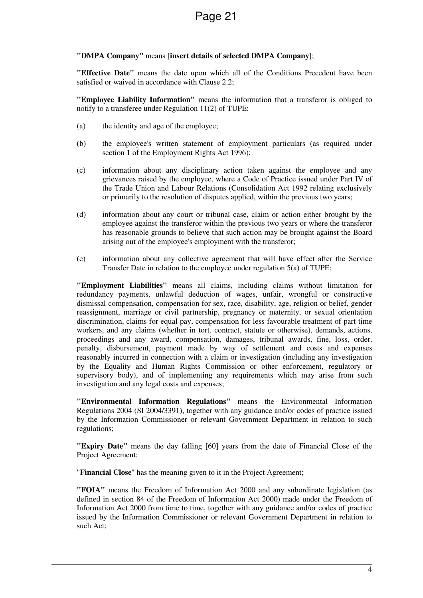#### **"DMPA Company"** means [**insert details of selected DMPA Company**];

**"Effective Date"** means the date upon which all of the Conditions Precedent have been satisfied or waived in accordance with Clause 2.2;

**"Employee Liability Information"** means the information that a transferor is obliged to notify to a transferee under Regulation 11(2) of TUPE:

- (a) the identity and age of the employee;
- (b) the employee's written statement of employment particulars (as required under section 1 of the Employment Rights Act 1996);
- (c) information about any disciplinary action taken against the employee and any grievances raised by the employee, where a Code of Practice issued under Part IV of the Trade Union and Labour Relations (Consolidation Act 1992 relating exclusively or primarily to the resolution of disputes applied, within the previous two years;
- (d) information about any court or tribunal case, claim or action either brought by the employee against the transferor within the previous two years or where the transferor has reasonable grounds to believe that such action may be brought against the Board arising out of the employee's employment with the transferor;
- (e) information about any collective agreement that will have effect after the Service Transfer Date in relation to the employee under regulation 5(a) of TUPE;

**"Employment Liabilities"** means all claims, including claims without limitation for redundancy payments, unlawful deduction of wages, unfair, wrongful or constructive dismissal compensation, compensation for sex, race, disability, age, religion or belief, gender reassignment, marriage or civil partnership, pregnancy or maternity, or sexual orientation discrimination, claims for equal pay, compensation for less favourable treatment of part-time workers, and any claims (whether in tort, contract, statute or otherwise), demands, actions, proceedings and any award, compensation, damages, tribunal awards, fine, loss, order, penalty, disbursement, payment made by way of settlement and costs and expenses reasonably incurred in connection with a claim or investigation (including any investigation by the Equality and Human Rights Commission or other enforcement, regulatory or supervisory body), and of implementing any requirements which may arise from such investigation and any legal costs and expenses;

**"Environmental Information Regulations"** means the Environmental Information Regulations 2004 (SI 2004/3391), together with any guidance and/or codes of practice issued by the Information Commissioner or relevant Government Department in relation to such regulations;

**"Expiry Date"** means the day falling [60] years from the date of Financial Close of the Project Agreement;

"**Financial Close**" has the meaning given to it in the Project Agreement;

**"FOIA"** means the Freedom of Information Act 2000 and any subordinate legislation (as defined in section 84 of the Freedom of Information Act 2000) made under the Freedom of Information Act 2000 from time to time, together with any guidance and/or codes of practice issued by the Information Commissioner or relevant Government Department in relation to such Act;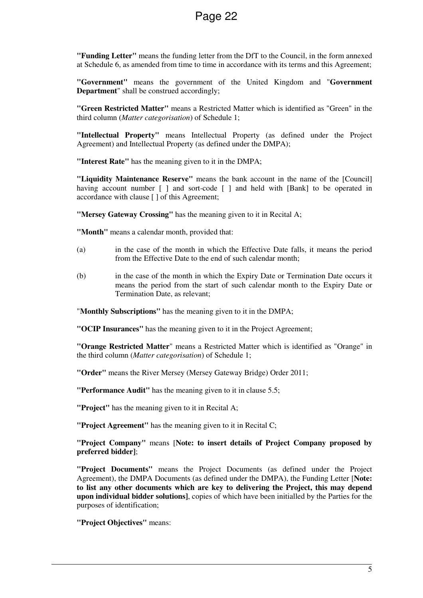**"Funding Letter"** means the funding letter from the DfT to the Council, in the form annexed at Schedule 6, as amended from time to time in accordance with its terms and this Agreement;

**"Government"** means the government of the United Kingdom and "**Government Department**" shall be construed accordingly;

**"Green Restricted Matter"** means a Restricted Matter which is identified as "Green" in the third column (*Matter categorisation*) of Schedule 1;

**"Intellectual Property"** means Intellectual Property (as defined under the Project Agreement) and Intellectual Property (as defined under the DMPA);

**"Interest Rate"** has the meaning given to it in the DMPA;

**"Liquidity Maintenance Reserve"** means the bank account in the name of the [Council] having account number  $\lceil \cdot \rceil$  and sort-code  $\lceil \cdot \rceil$  and held with [Bank] to be operated in accordance with clause [ ] of this Agreement;

**"Mersey Gateway Crossing"** has the meaning given to it in Recital A;

**"Month"** means a calendar month, provided that:

- (a) in the case of the month in which the Effective Date falls, it means the period from the Effective Date to the end of such calendar month;
- (b) in the case of the month in which the Expiry Date or Termination Date occurs it means the period from the start of such calendar month to the Expiry Date or Termination Date, as relevant;

"**Monthly Subscriptions"** has the meaning given to it in the DMPA;

**"OCIP Insurances"** has the meaning given to it in the Project Agreement;

**"Orange Restricted Matter**" means a Restricted Matter which is identified as "Orange" in the third column (*Matter categorisation*) of Schedule 1;

**"Order"** means the River Mersey (Mersey Gateway Bridge) Order 2011;

**"Performance Audit"** has the meaning given to it in clause 5.5;

**"Project"** has the meaning given to it in Recital A;

**"Project Agreement"** has the meaning given to it in Recital C;

**"Project Company"** means [**Note: to insert details of Project Company proposed by preferred bidder]**;

**"Project Documents"** means the Project Documents (as defined under the Project Agreement), the DMPA Documents (as defined under the DMPA), the Funding Letter [**Note: to list any other documents which are key to delivering the Project, this may depend upon individual bidder solutions]**, copies of which have been initialled by the Parties for the purposes of identification;

**"Project Objectives"** means: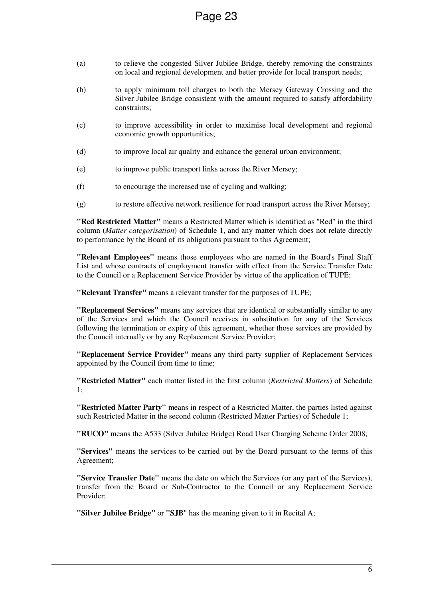- (a) to relieve the congested Silver Jubilee Bridge, thereby removing the constraints on local and regional development and better provide for local transport needs;
- (b) to apply minimum toll charges to both the Mersey Gateway Crossing and the Silver Jubilee Bridge consistent with the amount required to satisfy affordability constraints;
- (c) to improve accessibility in order to maximise local development and regional economic growth opportunities;
- (d) to improve local air quality and enhance the general urban environment;
- (e) to improve public transport links across the River Mersey;
- (f) to encourage the increased use of cycling and walking;
- (g) to restore effective network resilience for road transport across the River Mersey;

**"Red Restricted Matter"** means a Restricted Matter which is identified as "Red" in the third column (*Matter categorisation*) of Schedule 1, and any matter which does not relate directly to performance by the Board of its obligations pursuant to this Agreement;

**"Relevant Employees"** means those employees who are named in the Board's Final Staff List and whose contracts of employment transfer with effect from the Service Transfer Date to the Council or a Replacement Service Provider by virtue of the application of TUPE;

**"Relevant Transfer"** means a relevant transfer for the purposes of TUPE;

**"Replacement Services"** means any services that are identical or substantially similar to any of the Services and which the Council receives in substitution for any of the Services following the termination or expiry of this agreement, whether those services are provided by the Council internally or by any Replacement Service Provider;

**"Replacement Service Provider"** means any third party supplier of Replacement Services appointed by the Council from time to time;

**"Restricted Matter"** each matter listed in the first column (*Restricted Matters*) of Schedule 1;

**"Restricted Matter Party"** means in respect of a Restricted Matter, the parties listed against such Restricted Matter in the second column (Restricted Matter Parties) of Schedule 1;

**"RUCO"** means the A533 (Silver Jubilee Bridge) Road User Charging Scheme Order 2008;

**"Services"** means the services to be carried out by the Board pursuant to the terms of this Agreement;

**"Service Transfer Date"** means the date on which the Services (or any part of the Services), transfer from the Board or Sub-Contractor to the Council or any Replacement Service Provider;

**"Silver Jubilee Bridge"** or **"SJB**" has the meaning given to it in Recital A;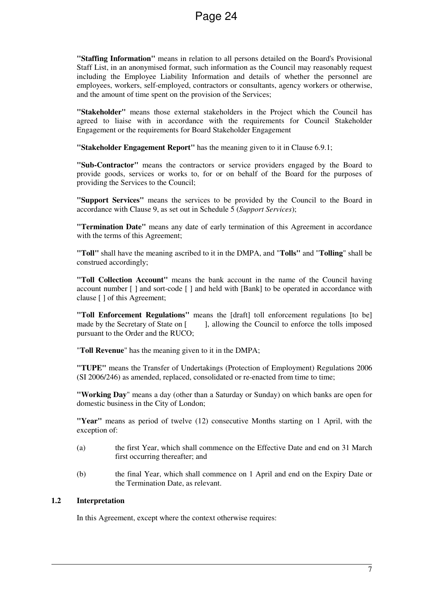**"Staffing Information"** means in relation to all persons detailed on the Board's Provisional Staff List, in an anonymised format, such information as the Council may reasonably request including the Employee Liability Information and details of whether the personnel are employees, workers, self-employed, contractors or consultants, agency workers or otherwise, and the amount of time spent on the provision of the Services;

**"Stakeholder"** means those external stakeholders in the Project which the Council has agreed to liaise with in accordance with the requirements for Council Stakeholder Engagement or the requirements for Board Stakeholder Engagement

**"Stakeholder Engagement Report"** has the meaning given to it in Clause 6.9.1;

**"Sub-Contractor"** means the contractors or service providers engaged by the Board to provide goods, services or works to, for or on behalf of the Board for the purposes of providing the Services to the Council;

**"Support Services"** means the services to be provided by the Council to the Board in accordance with Clause 9, as set out in Schedule 5 (*Support Services*);

**"Termination Date"** means any date of early termination of this Agreement in accordance with the terms of this Agreement;

**"Toll"** shall have the meaning ascribed to it in the DMPA, and "**Tolls"** and "**Tolling**" shall be construed accordingly;

**"Toll Collection Account"** means the bank account in the name of the Council having account number [ ] and sort-code [ ] and held with [Bank] to be operated in accordance with clause [ ] of this Agreement;

**"Toll Enforcement Regulations"** means the [draft] toll enforcement regulations [to be] made by the Secretary of State on [ ], allowing the Council to enforce the tolls imposed pursuant to the Order and the RUCO;

"**Toll Revenue**" has the meaning given to it in the DMPA;

**"TUPE"** means the Transfer of Undertakings (Protection of Employment) Regulations 2006 (SI 2006/246) as amended, replaced, consolidated or re-enacted from time to time;

**"Working Day**" means a day (other than a Saturday or Sunday) on which banks are open for domestic business in the City of London;

**"Year"** means as period of twelve (12) consecutive Months starting on 1 April, with the exception of:

- (a) the first Year, which shall commence on the Effective Date and end on 31 March first occurring thereafter; and
- (b) the final Year, which shall commence on 1 April and end on the Expiry Date or the Termination Date, as relevant.

#### **1.2 Interpretation**

In this Agreement, except where the context otherwise requires: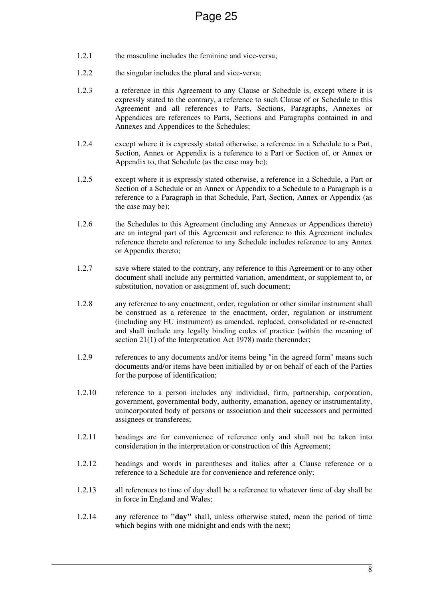- 1.2.1 the masculine includes the feminine and vice-versa;
- 1.2.2 the singular includes the plural and vice-versa;
- 1.2.3 a reference in this Agreement to any Clause or Schedule is, except where it is expressly stated to the contrary, a reference to such Clause of or Schedule to this Agreement and all references to Parts, Sections, Paragraphs, Annexes or Appendices are references to Parts, Sections and Paragraphs contained in and Annexes and Appendices to the Schedules;
- 1.2.4 except where it is expressly stated otherwise, a reference in a Schedule to a Part, Section, Annex or Appendix is a reference to a Part or Section of, or Annex or Appendix to, that Schedule (as the case may be);
- 1.2.5 except where it is expressly stated otherwise, a reference in a Schedule, a Part or Section of a Schedule or an Annex or Appendix to a Schedule to a Paragraph is a reference to a Paragraph in that Schedule, Part, Section, Annex or Appendix (as the case may be);
- 1.2.6 the Schedules to this Agreement (including any Annexes or Appendices thereto) are an integral part of this Agreement and reference to this Agreement includes reference thereto and reference to any Schedule includes reference to any Annex or Appendix thereto;
- 1.2.7 save where stated to the contrary, any reference to this Agreement or to any other document shall include any permitted variation, amendment, or supplement to, or substitution, novation or assignment of, such document;
- 1.2.8 any reference to any enactment, order, regulation or other similar instrument shall be construed as a reference to the enactment, order, regulation or instrument (including any EU instrument) as amended, replaced, consolidated or re-enacted and shall include any legally binding codes of practice (within the meaning of section 21(1) of the Interpretation Act 1978) made thereunder;
- 1.2.9 references to any documents and/or items being "in the agreed form" means such documents and/or items have been initialled by or on behalf of each of the Parties for the purpose of identification;
- 1.2.10 reference to a person includes any individual, firm, partnership, corporation, government, governmental body, authority, emanation, agency or instrumentality, unincorporated body of persons or association and their successors and permitted assignees or transferees;
- 1.2.11 headings are for convenience of reference only and shall not be taken into consideration in the interpretation or construction of this Agreement;
- 1.2.12 headings and words in parentheses and italics after a Clause reference or a reference to a Schedule are for convenience and reference only;
- 1.2.13 all references to time of day shall be a reference to whatever time of day shall be in force in England and Wales;
- 1.2.14 any reference to **"day"** shall, unless otherwise stated, mean the period of time which begins with one midnight and ends with the next;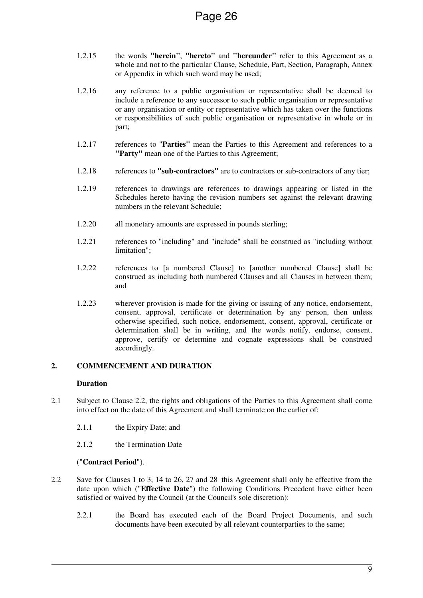- 1.2.15 the words **"herein"**, **"hereto"** and **"hereunder"** refer to this Agreement as a whole and not to the particular Clause, Schedule, Part, Section, Paragraph, Annex or Appendix in which such word may be used;
- 1.2.16 any reference to a public organisation or representative shall be deemed to include a reference to any successor to such public organisation or representative or any organisation or entity or representative which has taken over the functions or responsibilities of such public organisation or representative in whole or in part;
- 1.2.17 references to "**Parties"** mean the Parties to this Agreement and references to a **"Party"** mean one of the Parties to this Agreement;
- 1.2.18 references to **"sub-contractors"** are to contractors or sub-contractors of any tier;
- 1.2.19 references to drawings are references to drawings appearing or listed in the Schedules hereto having the revision numbers set against the relevant drawing numbers in the relevant Schedule;
- 1.2.20 all monetary amounts are expressed in pounds sterling;
- 1.2.21 references to "including" and "include" shall be construed as "including without limitation";
- 1.2.22 references to [a numbered Clause] to [another numbered Clause] shall be construed as including both numbered Clauses and all Clauses in between them; and
- 1.2.23 wherever provision is made for the giving or issuing of any notice, endorsement, consent, approval, certificate or determination by any person, then unless otherwise specified, such notice, endorsement, consent, approval, certificate or determination shall be in writing, and the words notify, endorse, consent, approve, certify or determine and cognate expressions shall be construed accordingly.

#### **2. COMMENCEMENT AND DURATION**

#### **Duration**

- 2.1 Subject to Clause 2.2, the rights and obligations of the Parties to this Agreement shall come into effect on the date of this Agreement and shall terminate on the earlier of:
	- 2.1.1 the Expiry Date; and
	- 2.1.2 the Termination Date

#### ("**Contract Period**").

- 2.2 Save for Clauses 1 to 3, 14 to 26, 27 and 28 this Agreement shall only be effective from the date upon which ("**Effective Date**") the following Conditions Precedent have either been satisfied or waived by the Council (at the Council's sole discretion):
	- 2.2.1 the Board has executed each of the Board Project Documents, and such documents have been executed by all relevant counterparties to the same;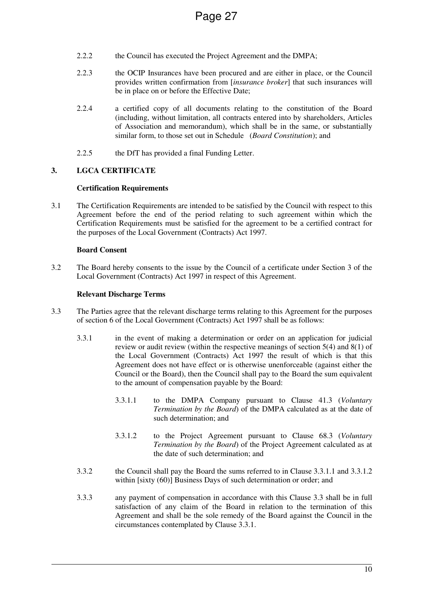- 2.2.2 the Council has executed the Project Agreement and the DMPA;
- 2.2.3 the OCIP Insurances have been procured and are either in place, or the Council provides written confirmation from [*insurance broker*] that such insurances will be in place on or before the Effective Date;
- 2.2.4 a certified copy of all documents relating to the constitution of the Board (including, without limitation, all contracts entered into by shareholders, Articles of Association and memorandum), which shall be in the same, or substantially similar form, to those set out in Schedule (*Board Constitution*); and
- 2.2.5 the DfT has provided a final Funding Letter.

#### **3. LGCA CERTIFICATE**

#### **Certification Requirements**

3.1 The Certification Requirements are intended to be satisfied by the Council with respect to this Agreement before the end of the period relating to such agreement within which the Certification Requirements must be satisfied for the agreement to be a certified contract for the purposes of the Local Government (Contracts) Act 1997.

#### **Board Consent**

3.2 The Board hereby consents to the issue by the Council of a certificate under Section 3 of the Local Government (Contracts) Act 1997 in respect of this Agreement.

#### **Relevant Discharge Terms**

- 3.3 The Parties agree that the relevant discharge terms relating to this Agreement for the purposes of section 6 of the Local Government (Contracts) Act 1997 shall be as follows:
	- 3.3.1 in the event of making a determination or order on an application for judicial review or audit review (within the respective meanings of section  $5(4)$  and  $8(1)$  of the Local Government (Contracts) Act 1997 the result of which is that this Agreement does not have effect or is otherwise unenforceable (against either the Council or the Board), then the Council shall pay to the Board the sum equivalent to the amount of compensation payable by the Board:
		- 3.3.1.1 to the DMPA Company pursuant to Clause 41.3 (*Voluntary Termination by the Board*) of the DMPA calculated as at the date of such determination; and
		- 3.3.1.2 to the Project Agreement pursuant to Clause 68.3 (*Voluntary Termination by the Board*) of the Project Agreement calculated as at the date of such determination; and
	- 3.3.2 the Council shall pay the Board the sums referred to in Clause 3.3.1.1 and 3.3.1.2 within [sixty (60)] Business Days of such determination or order; and
	- 3.3.3 any payment of compensation in accordance with this Clause 3.3 shall be in full satisfaction of any claim of the Board in relation to the termination of this Agreement and shall be the sole remedy of the Board against the Council in the circumstances contemplated by Clause 3.3.1.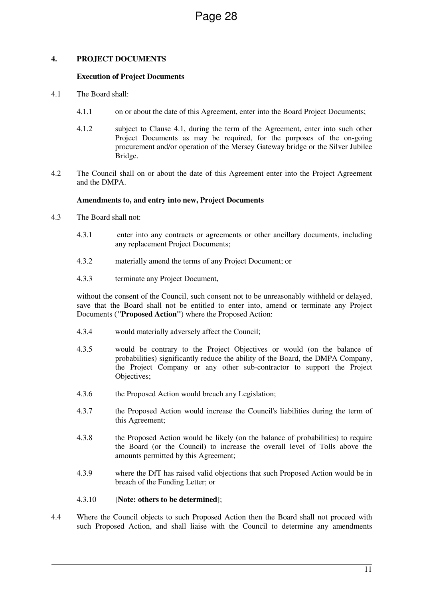#### **4. PROJECT DOCUMENTS**

#### **Execution of Project Documents**

- 4.1 The Board shall:
	- 4.1.1 on or about the date of this Agreement, enter into the Board Project Documents;
	- 4.1.2 subject to Clause 4.1, during the term of the Agreement, enter into such other Project Documents as may be required, for the purposes of the on-going procurement and/or operation of the Mersey Gateway bridge or the Silver Jubilee Bridge.
- 4.2 The Council shall on or about the date of this Agreement enter into the Project Agreement and the DMPA.

#### **Amendments to, and entry into new, Project Documents**

- 4.3 The Board shall not:
	- 4.3.1 enter into any contracts or agreements or other ancillary documents, including any replacement Project Documents;
	- 4.3.2 materially amend the terms of any Project Document; or
	- 4.3.3 terminate any Project Document,

without the consent of the Council, such consent not to be unreasonably withheld or delayed, save that the Board shall not be entitled to enter into, amend or terminate any Project Documents (**"Proposed Action"**) where the Proposed Action:

- 4.3.4 would materially adversely affect the Council;
- 4.3.5 would be contrary to the Project Objectives or would (on the balance of probabilities) significantly reduce the ability of the Board, the DMPA Company, the Project Company or any other sub-contractor to support the Project Objectives;
- 4.3.6 the Proposed Action would breach any Legislation;
- 4.3.7 the Proposed Action would increase the Council's liabilities during the term of this Agreement;
- 4.3.8 the Proposed Action would be likely (on the balance of probabilities) to require the Board (or the Council) to increase the overall level of Tolls above the amounts permitted by this Agreement;
- 4.3.9 where the DfT has raised valid objections that such Proposed Action would be in breach of the Funding Letter; or

#### 4.3.10 [**Note: others to be determined**];

4.4 Where the Council objects to such Proposed Action then the Board shall not proceed with such Proposed Action, and shall liaise with the Council to determine any amendments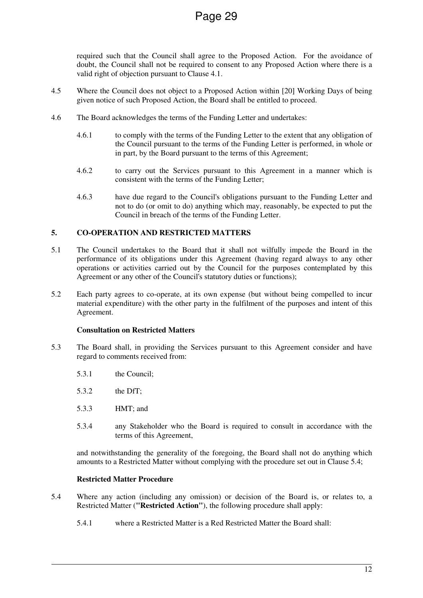required such that the Council shall agree to the Proposed Action. For the avoidance of doubt, the Council shall not be required to consent to any Proposed Action where there is a valid right of objection pursuant to Clause 4.1.

- 4.5 Where the Council does not object to a Proposed Action within [20] Working Days of being given notice of such Proposed Action, the Board shall be entitled to proceed.
- 4.6 The Board acknowledges the terms of the Funding Letter and undertakes:
	- 4.6.1 to comply with the terms of the Funding Letter to the extent that any obligation of the Council pursuant to the terms of the Funding Letter is performed, in whole or in part, by the Board pursuant to the terms of this Agreement;
	- 4.6.2 to carry out the Services pursuant to this Agreement in a manner which is consistent with the terms of the Funding Letter;
	- 4.6.3 have due regard to the Council's obligations pursuant to the Funding Letter and not to do (or omit to do) anything which may, reasonably, be expected to put the Council in breach of the terms of the Funding Letter.

#### **5. CO-OPERATION AND RESTRICTED MATTERS**

- 5.1 The Council undertakes to the Board that it shall not wilfully impede the Board in the performance of its obligations under this Agreement (having regard always to any other operations or activities carried out by the Council for the purposes contemplated by this Agreement or any other of the Council's statutory duties or functions);
- 5.2 Each party agrees to co-operate, at its own expense (but without being compelled to incur material expenditure) with the other party in the fulfilment of the purposes and intent of this Agreement.

#### **Consultation on Restricted Matters**

- 5.3 The Board shall, in providing the Services pursuant to this Agreement consider and have regard to comments received from:
	- 5.3.1 the Council;
	- 5.3.2 the DfT;
	- 5.3.3 HMT; and
	- 5.3.4 any Stakeholder who the Board is required to consult in accordance with the terms of this Agreement,

and notwithstanding the generality of the foregoing, the Board shall not do anything which amounts to a Restricted Matter without complying with the procedure set out in Clause 5.4;

#### **Restricted Matter Procedure**

- 5.4 Where any action (including any omission) or decision of the Board is, or relates to, a Restricted Matter (**"Restricted Action"**), the following procedure shall apply:
	- 5.4.1 where a Restricted Matter is a Red Restricted Matter the Board shall: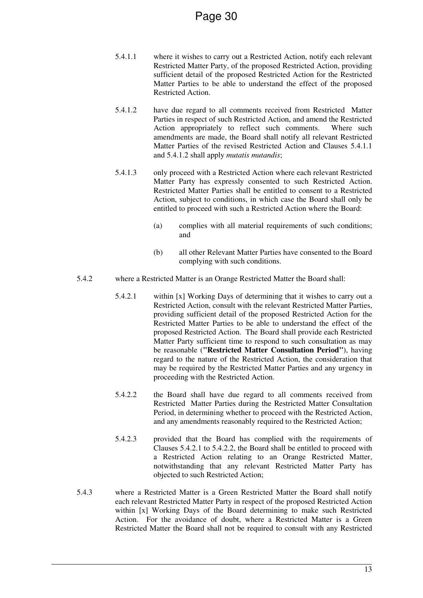- 5.4.1.1 where it wishes to carry out a Restricted Action, notify each relevant Restricted Matter Party, of the proposed Restricted Action, providing sufficient detail of the proposed Restricted Action for the Restricted Matter Parties to be able to understand the effect of the proposed Restricted Action.
- 5.4.1.2 have due regard to all comments received from Restricted Matter Parties in respect of such Restricted Action, and amend the Restricted Action appropriately to reflect such comments. Where such amendments are made, the Board shall notify all relevant Restricted Matter Parties of the revised Restricted Action and Clauses 5.4.1.1 and 5.4.1.2 shall apply *mutatis mutandis*;
- 5.4.1.3 only proceed with a Restricted Action where each relevant Restricted Matter Party has expressly consented to such Restricted Action. Restricted Matter Parties shall be entitled to consent to a Restricted Action, subject to conditions, in which case the Board shall only be entitled to proceed with such a Restricted Action where the Board:
	- (a) complies with all material requirements of such conditions; and
	- (b) all other Relevant Matter Parties have consented to the Board complying with such conditions.
- 5.4.2 where a Restricted Matter is an Orange Restricted Matter the Board shall:
	- 5.4.2.1 within [x] Working Days of determining that it wishes to carry out a Restricted Action, consult with the relevant Restricted Matter Parties, providing sufficient detail of the proposed Restricted Action for the Restricted Matter Parties to be able to understand the effect of the proposed Restricted Action. The Board shall provide each Restricted Matter Party sufficient time to respond to such consultation as may be reasonable (**"Restricted Matter Consultation Period"**), having regard to the nature of the Restricted Action, the consideration that may be required by the Restricted Matter Parties and any urgency in proceeding with the Restricted Action.
	- 5.4.2.2 the Board shall have due regard to all comments received from Restricted Matter Parties during the Restricted Matter Consultation Period, in determining whether to proceed with the Restricted Action, and any amendments reasonably required to the Restricted Action;
	- 5.4.2.3 provided that the Board has complied with the requirements of Clauses 5.4.2.1 to 5.4.2.2, the Board shall be entitled to proceed with a Restricted Action relating to an Orange Restricted Matter, notwithstanding that any relevant Restricted Matter Party has objected to such Restricted Action;
- 5.4.3 where a Restricted Matter is a Green Restricted Matter the Board shall notify each relevant Restricted Matter Party in respect of the proposed Restricted Action within [x] Working Days of the Board determining to make such Restricted Action. For the avoidance of doubt, where a Restricted Matter is a Green Restricted Matter the Board shall not be required to consult with any Restricted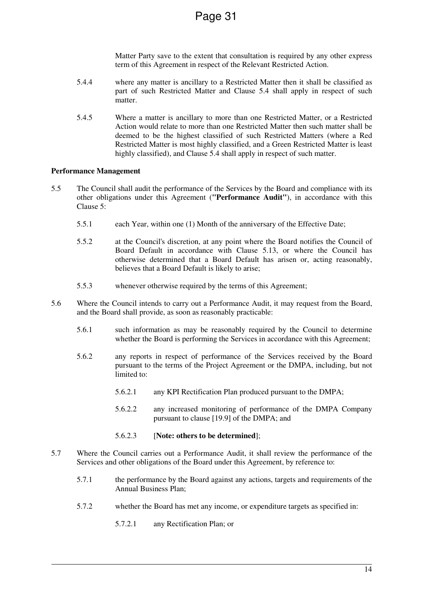Matter Party save to the extent that consultation is required by any other express term of this Agreement in respect of the Relevant Restricted Action.

- 5.4.4 where any matter is ancillary to a Restricted Matter then it shall be classified as part of such Restricted Matter and Clause 5.4 shall apply in respect of such matter.
- 5.4.5 Where a matter is ancillary to more than one Restricted Matter, or a Restricted Action would relate to more than one Restricted Matter then such matter shall be deemed to be the highest classified of such Restricted Matters (where a Red Restricted Matter is most highly classified, and a Green Restricted Matter is least highly classified), and Clause 5.4 shall apply in respect of such matter.

#### **Performance Management**

- 5.5 The Council shall audit the performance of the Services by the Board and compliance with its other obligations under this Agreement (**"Performance Audit"**), in accordance with this Clause 5:
	- 5.5.1 each Year, within one (1) Month of the anniversary of the Effective Date;
	- 5.5.2 at the Council's discretion, at any point where the Board notifies the Council of Board Default in accordance with Clause 5.13, or where the Council has otherwise determined that a Board Default has arisen or, acting reasonably, believes that a Board Default is likely to arise;
	- 5.5.3 whenever otherwise required by the terms of this Agreement;
- 5.6 Where the Council intends to carry out a Performance Audit, it may request from the Board, and the Board shall provide, as soon as reasonably practicable:
	- 5.6.1 such information as may be reasonably required by the Council to determine whether the Board is performing the Services in accordance with this Agreement;
	- 5.6.2 any reports in respect of performance of the Services received by the Board pursuant to the terms of the Project Agreement or the DMPA, including, but not limited to:
		- 5.6.2.1 any KPI Rectification Plan produced pursuant to the DMPA;
		- 5.6.2.2 any increased monitoring of performance of the DMPA Company pursuant to clause [19.9] of the DMPA; and
		- 5.6.2.3 [**Note: others to be determined**];
- 5.7 Where the Council carries out a Performance Audit, it shall review the performance of the Services and other obligations of the Board under this Agreement, by reference to:
	- 5.7.1 the performance by the Board against any actions, targets and requirements of the Annual Business Plan;
	- 5.7.2 whether the Board has met any income, or expenditure targets as specified in:
		- 5.7.2.1 any Rectification Plan; or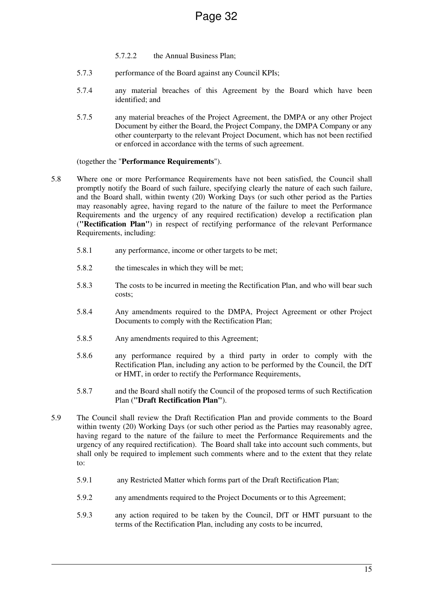- 5.7.2.2 the Annual Business Plan;
- 5.7.3 performance of the Board against any Council KPIs;
- 5.7.4 any material breaches of this Agreement by the Board which have been identified; and
- 5.7.5 any material breaches of the Project Agreement, the DMPA or any other Project Document by either the Board, the Project Company, the DMPA Company or any other counterparty to the relevant Project Document, which has not been rectified or enforced in accordance with the terms of such agreement.

#### (together the "**Performance Requirements**").

- 5.8 Where one or more Performance Requirements have not been satisfied, the Council shall promptly notify the Board of such failure, specifying clearly the nature of each such failure, and the Board shall, within twenty (20) Working Days (or such other period as the Parties may reasonably agree, having regard to the nature of the failure to meet the Performance Requirements and the urgency of any required rectification) develop a rectification plan (**"Rectification Plan"**) in respect of rectifying performance of the relevant Performance Requirements, including:
	- 5.8.1 any performance, income or other targets to be met;
	- 5.8.2 the timescales in which they will be met;
	- 5.8.3 The costs to be incurred in meeting the Rectification Plan, and who will bear such costs;
	- 5.8.4 Any amendments required to the DMPA, Project Agreement or other Project Documents to comply with the Rectification Plan;
	- 5.8.5 Any amendments required to this Agreement;
	- 5.8.6 any performance required by a third party in order to comply with the Rectification Plan, including any action to be performed by the Council, the DfT or HMT, in order to rectify the Performance Requirements,
	- 5.8.7 and the Board shall notify the Council of the proposed terms of such Rectification Plan (**"Draft Rectification Plan"**).
- 5.9 The Council shall review the Draft Rectification Plan and provide comments to the Board within twenty (20) Working Days (or such other period as the Parties may reasonably agree, having regard to the nature of the failure to meet the Performance Requirements and the urgency of any required rectification). The Board shall take into account such comments, but shall only be required to implement such comments where and to the extent that they relate to:
	- 5.9.1 any Restricted Matter which forms part of the Draft Rectification Plan;
	- 5.9.2 any amendments required to the Project Documents or to this Agreement;
	- 5.9.3 any action required to be taken by the Council, DfT or HMT pursuant to the terms of the Rectification Plan, including any costs to be incurred,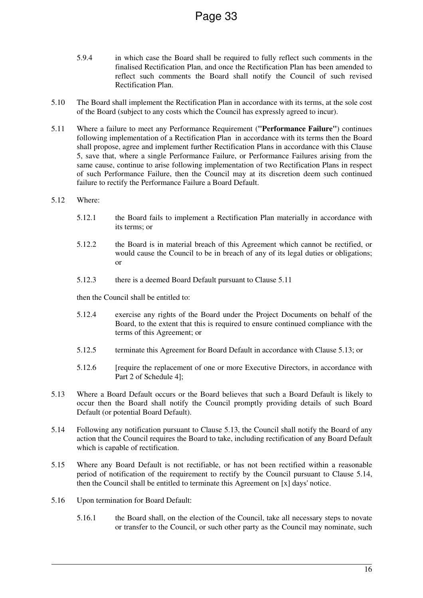- 5.9.4 in which case the Board shall be required to fully reflect such comments in the finalised Rectification Plan, and once the Rectification Plan has been amended to reflect such comments the Board shall notify the Council of such revised Rectification Plan.
- 5.10 The Board shall implement the Rectification Plan in accordance with its terms, at the sole cost of the Board (subject to any costs which the Council has expressly agreed to incur).
- 5.11 Where a failure to meet any Performance Requirement (**"Performance Failure"**) continues following implementation of a Rectification Plan in accordance with its terms then the Board shall propose, agree and implement further Rectification Plans in accordance with this Clause 5, save that, where a single Performance Failure, or Performance Failures arising from the same cause, continue to arise following implementation of two Rectification Plans in respect of such Performance Failure, then the Council may at its discretion deem such continued failure to rectify the Performance Failure a Board Default.
- 5.12 Where:
	- 5.12.1 the Board fails to implement a Rectification Plan materially in accordance with its terms; or
	- 5.12.2 the Board is in material breach of this Agreement which cannot be rectified, or would cause the Council to be in breach of any of its legal duties or obligations; or
	- 5.12.3 there is a deemed Board Default pursuant to Clause 5.11

then the Council shall be entitled to:

- 5.12.4 exercise any rights of the Board under the Project Documents on behalf of the Board, to the extent that this is required to ensure continued compliance with the terms of this Agreement; or
- 5.12.5 terminate this Agreement for Board Default in accordance with Clause 5.13; or
- 5.12.6 [require the replacement of one or more Executive Directors, in accordance with Part 2 of Schedule 4];
- 5.13 Where a Board Default occurs or the Board believes that such a Board Default is likely to occur then the Board shall notify the Council promptly providing details of such Board Default (or potential Board Default).
- 5.14 Following any notification pursuant to Clause 5.13, the Council shall notify the Board of any action that the Council requires the Board to take, including rectification of any Board Default which is capable of rectification.
- 5.15 Where any Board Default is not rectifiable, or has not been rectified within a reasonable period of notification of the requirement to rectify by the Council pursuant to Clause 5.14, then the Council shall be entitled to terminate this Agreement on [x] days' notice.
- 5.16 Upon termination for Board Default:
	- 5.16.1 the Board shall, on the election of the Council, take all necessary steps to novate or transfer to the Council, or such other party as the Council may nominate, such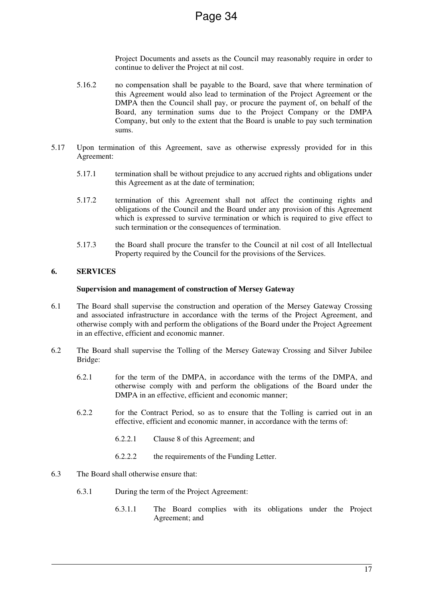Project Documents and assets as the Council may reasonably require in order to continue to deliver the Project at nil cost.

- 5.16.2 no compensation shall be payable to the Board, save that where termination of this Agreement would also lead to termination of the Project Agreement or the DMPA then the Council shall pay, or procure the payment of, on behalf of the Board, any termination sums due to the Project Company or the DMPA Company, but only to the extent that the Board is unable to pay such termination sums.
- 5.17 Upon termination of this Agreement, save as otherwise expressly provided for in this Agreement:
	- 5.17.1 termination shall be without prejudice to any accrued rights and obligations under this Agreement as at the date of termination;
	- 5.17.2 termination of this Agreement shall not affect the continuing rights and obligations of the Council and the Board under any provision of this Agreement which is expressed to survive termination or which is required to give effect to such termination or the consequences of termination.
	- 5.17.3 the Board shall procure the transfer to the Council at nil cost of all Intellectual Property required by the Council for the provisions of the Services.

#### **6. SERVICES**

#### **Supervision and management of construction of Mersey Gateway**

- 6.1 The Board shall supervise the construction and operation of the Mersey Gateway Crossing and associated infrastructure in accordance with the terms of the Project Agreement, and otherwise comply with and perform the obligations of the Board under the Project Agreement in an effective, efficient and economic manner.
- 6.2 The Board shall supervise the Tolling of the Mersey Gateway Crossing and Silver Jubilee Bridge:
	- 6.2.1 for the term of the DMPA, in accordance with the terms of the DMPA, and otherwise comply with and perform the obligations of the Board under the DMPA in an effective, efficient and economic manner;
	- 6.2.2 for the Contract Period, so as to ensure that the Tolling is carried out in an effective, efficient and economic manner, in accordance with the terms of:
		- 6.2.2.1 Clause 8 of this Agreement; and
		- 6.2.2.2 the requirements of the Funding Letter.
- 6.3 The Board shall otherwise ensure that:
	- 6.3.1 During the term of the Project Agreement:
		- 6.3.1.1 The Board complies with its obligations under the Project Agreement; and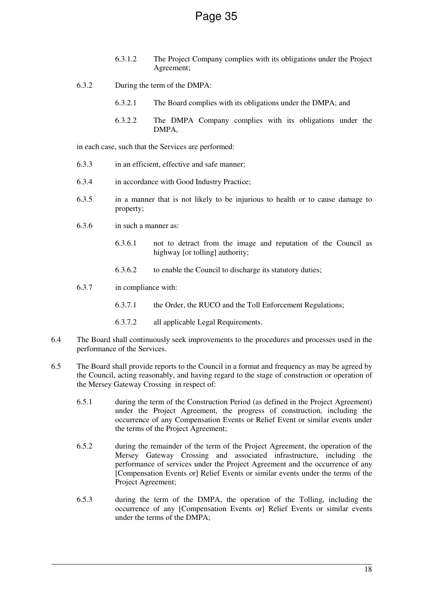- 6.3.1.2 The Project Company complies with its obligations under the Project Agreement;
- 6.3.2 During the term of the DMPA:
	- 6.3.2.1 The Board complies with its obligations under the DMPA; and
	- 6.3.2.2 The DMPA Company complies with its obligations under the DMPA,

in each case, such that the Services are performed:

- 6.3.3 in an efficient, effective and safe manner;
- 6.3.4 in accordance with Good Industry Practice;
- 6.3.5 in a manner that is not likely to be injurious to health or to cause damage to property;
- 6.3.6 in such a manner as:
	- 6.3.6.1 not to detract from the image and reputation of the Council as highway [or tolling] authority;
	- 6.3.6.2 to enable the Council to discharge its statutory duties;
- 6.3.7 in compliance with:
	- 6.3.7.1 the Order, the RUCO and the Toll Enforcement Regulations;
	- 6.3.7.2 all applicable Legal Requirements.
- 6.4 The Board shall continuously seek improvements to the procedures and processes used in the performance of the Services.
- 6.5 The Board shall provide reports to the Council in a format and frequency as may be agreed by the Council, acting reasonably, and having regard to the stage of construction or operation of the Mersey Gateway Crossing in respect of:
	- 6.5.1 during the term of the Construction Period (as defined in the Project Agreement) under the Project Agreement, the progress of construction, including the occurrence of any Compensation Events or Relief Event or similar events under the terms of the Project Agreement;
	- 6.5.2 during the remainder of the term of the Project Agreement, the operation of the Mersey Gateway Crossing and associated infrastructure, including the performance of services under the Project Agreement and the occurrence of any [Compensation Events or] Relief Events or similar events under the terms of the Project Agreement;
	- 6.5.3 during the term of the DMPA, the operation of the Tolling, including the occurrence of any [Compensation Events or] Relief Events or similar events under the terms of the DMPA;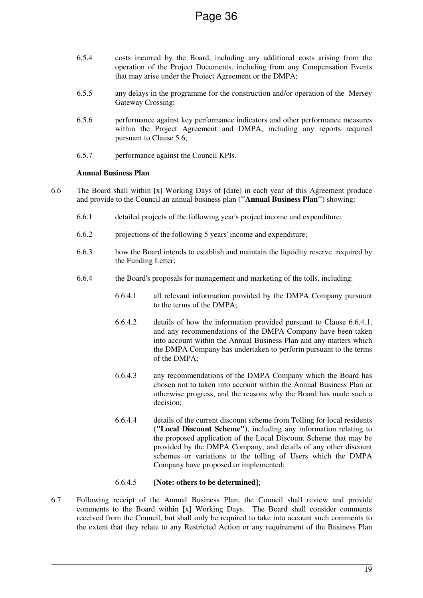- 6.5.4 costs incurred by the Board, including any additional costs arising from the operation of the Project Documents, including from any Compensation Events that may arise under the Project Agreement or the DMPA;
- 6.5.5 any delays in the programme for the construction and/or operation of the Mersey Gateway Crossing:
- 6.5.6 performance against key performance indicators and other performance measures within the Project Agreement and DMPA, including any reports required pursuant to Clause 5.6;
- 6.5.7 performance against the Council KPIs.

## **Annual Business Plan**

- 6.6 The Board shall within [x] Working Days of [date] in each year of this Agreement produce and provide to the Council an annual business plan (**"Annual Business Plan"**) showing:
	- 6.6.1 detailed projects of the following year's project income and expenditure;
	- 6.6.2 projections of the following 5 years' income and expenditure;
	- 6.6.3 how the Board intends to establish and maintain the liquidity reserve required by the Funding Letter;
	- 6.6.4 the Board's proposals for management and marketing of the tolls, including:
		- 6.6.4.1 all relevant information provided by the DMPA Company pursuant to the terms of the DMPA;
		- 6.6.4.2 details of how the information provided pursuant to Clause 6.6.4.1, and any recommendations of the DMPA Company have been taken into account within the Annual Business Plan and any matters which the DMPA Company has undertaken to perform pursuant to the terms of the DMPA;
		- 6.6.4.3 any recommendations of the DMPA Company which the Board has chosen not to taken into account within the Annual Business Plan or otherwise progress, and the reasons why the Board has made such a decision;
		- 6.6.4.4 details of the current discount scheme from Tolling for local residents (**"Local Discount Scheme"**), including any information relating to the proposed application of the Local Discount Scheme that may be provided by the DMPA Company, and details of any other discount schemes or variations to the tolling of Users which the DMPA Company have proposed or implemented;

#### 6.6.4.5 [**Note: others to be determined]**;

6.7 Following receipt of the Annual Business Plan, the Council shall review and provide comments to the Board within [x] Working Days. The Board shall consider comments received from the Council, but shall only be required to take into account such comments to the extent that they relate to any Restricted Action or any requirement of the Business Plan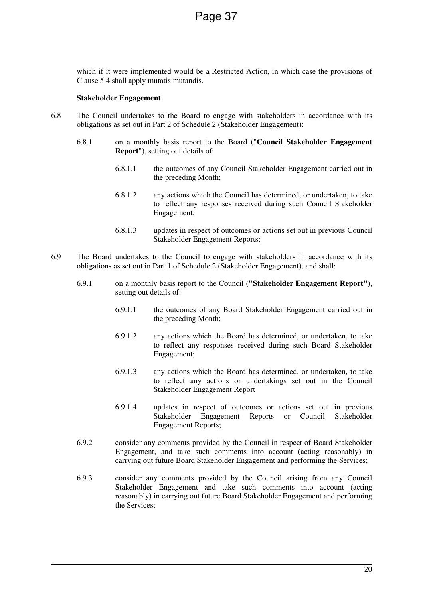which if it were implemented would be a Restricted Action, in which case the provisions of Clause 5.4 shall apply mutatis mutandis.

#### **Stakeholder Engagement**

- 6.8 The Council undertakes to the Board to engage with stakeholders in accordance with its obligations as set out in Part 2 of Schedule 2 (Stakeholder Engagement):
	- 6.8.1 on a monthly basis report to the Board ("**Council Stakeholder Engagement Report**"), setting out details of:
		- 6.8.1.1 the outcomes of any Council Stakeholder Engagement carried out in the preceding Month;
		- 6.8.1.2 any actions which the Council has determined, or undertaken, to take to reflect any responses received during such Council Stakeholder Engagement;
		- 6.8.1.3 updates in respect of outcomes or actions set out in previous Council Stakeholder Engagement Reports;
- 6.9 The Board undertakes to the Council to engage with stakeholders in accordance with its obligations as set out in Part 1 of Schedule 2 (Stakeholder Engagement), and shall:
	- 6.9.1 on a monthly basis report to the Council (**"Stakeholder Engagement Report"**), setting out details of:
		- 6.9.1.1 the outcomes of any Board Stakeholder Engagement carried out in the preceding Month;
		- 6.9.1.2 any actions which the Board has determined, or undertaken, to take to reflect any responses received during such Board Stakeholder Engagement;
		- 6.9.1.3 any actions which the Board has determined, or undertaken, to take to reflect any actions or undertakings set out in the Council Stakeholder Engagement Report
		- 6.9.1.4 updates in respect of outcomes or actions set out in previous Stakeholder Engagement Reports or Council Engagement Reports;
	- 6.9.2 consider any comments provided by the Council in respect of Board Stakeholder Engagement, and take such comments into account (acting reasonably) in carrying out future Board Stakeholder Engagement and performing the Services;
	- 6.9.3 consider any comments provided by the Council arising from any Council Stakeholder Engagement and take such comments into account (acting reasonably) in carrying out future Board Stakeholder Engagement and performing the Services;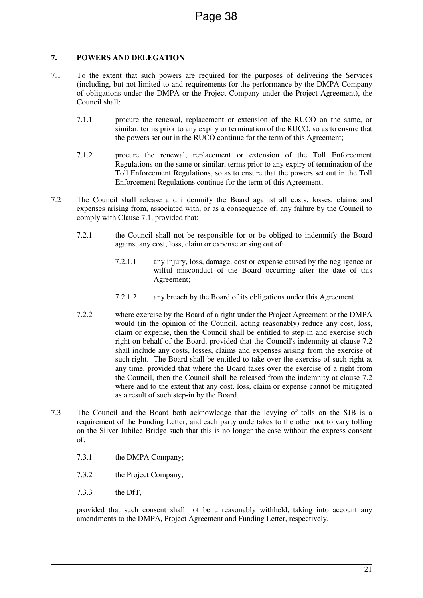# **7. POWERS AND DELEGATION**

- 7.1 To the extent that such powers are required for the purposes of delivering the Services (including, but not limited to and requirements for the performance by the DMPA Company of obligations under the DMPA or the Project Company under the Project Agreement), the Council shall:
	- 7.1.1 procure the renewal, replacement or extension of the RUCO on the same, or similar, terms prior to any expiry or termination of the RUCO, so as to ensure that the powers set out in the RUCO continue for the term of this Agreement;
	- 7.1.2 procure the renewal, replacement or extension of the Toll Enforcement Regulations on the same or similar, terms prior to any expiry of termination of the Toll Enforcement Regulations, so as to ensure that the powers set out in the Toll Enforcement Regulations continue for the term of this Agreement;
- 7.2 The Council shall release and indemnify the Board against all costs, losses, claims and expenses arising from, associated with, or as a consequence of, any failure by the Council to comply with Clause 7.1, provided that:
	- 7.2.1 the Council shall not be responsible for or be obliged to indemnify the Board against any cost, loss, claim or expense arising out of:
		- 7.2.1.1 any injury, loss, damage, cost or expense caused by the negligence or wilful misconduct of the Board occurring after the date of this Agreement;
		- 7.2.1.2 any breach by the Board of its obligations under this Agreement
	- 7.2.2 where exercise by the Board of a right under the Project Agreement or the DMPA would (in the opinion of the Council, acting reasonably) reduce any cost, loss, claim or expense, then the Council shall be entitled to step-in and exercise such right on behalf of the Board, provided that the Council's indemnity at clause 7.2 shall include any costs, losses, claims and expenses arising from the exercise of such right. The Board shall be entitled to take over the exercise of such right at any time, provided that where the Board takes over the exercise of a right from the Council, then the Council shall be released from the indemnity at clause 7.2 where and to the extent that any cost, loss, claim or expense cannot be mitigated as a result of such step-in by the Board.
- 7.3 The Council and the Board both acknowledge that the levying of tolls on the SJB is a requirement of the Funding Letter, and each party undertakes to the other not to vary tolling on the Silver Jubilee Bridge such that this is no longer the case without the express consent of:
	- 7.3.1 the DMPA Company;
	- 7.3.2 the Project Company;
	- 7.3.3 the DfT,

provided that such consent shall not be unreasonably withheld, taking into account any amendments to the DMPA, Project Agreement and Funding Letter, respectively.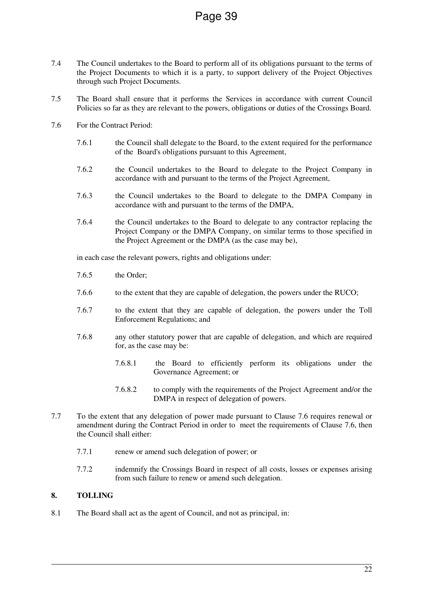- 7.4 The Council undertakes to the Board to perform all of its obligations pursuant to the terms of the Project Documents to which it is a party, to support delivery of the Project Objectives through such Project Documents.
- 7.5 The Board shall ensure that it performs the Services in accordance with current Council Policies so far as they are relevant to the powers, obligations or duties of the Crossings Board.
- 7.6 For the Contract Period:
	- 7.6.1 the Council shall delegate to the Board, to the extent required for the performance of the Board's obligations pursuant to this Agreement,
	- 7.6.2 the Council undertakes to the Board to delegate to the Project Company in accordance with and pursuant to the terms of the Project Agreement,
	- 7.6.3 the Council undertakes to the Board to delegate to the DMPA Company in accordance with and pursuant to the terms of the DMPA,
	- 7.6.4 the Council undertakes to the Board to delegate to any contractor replacing the Project Company or the DMPA Company, on similar terms to those specified in the Project Agreement or the DMPA (as the case may be),

in each case the relevant powers, rights and obligations under:

- 7.6.5 the Order;
- 7.6.6 to the extent that they are capable of delegation, the powers under the RUCO;
- 7.6.7 to the extent that they are capable of delegation, the powers under the Toll Enforcement Regulations; and
- 7.6.8 any other statutory power that are capable of delegation, and which are required for, as the case may be:
	- 7.6.8.1 the Board to efficiently perform its obligations under the Governance Agreement; or
	- 7.6.8.2 to comply with the requirements of the Project Agreement and/or the DMPA in respect of delegation of powers.
- 7.7 To the extent that any delegation of power made pursuant to Clause 7.6 requires renewal or amendment during the Contract Period in order to meet the requirements of Clause 7.6, then the Council shall either:
	- 7.7.1 renew or amend such delegation of power; or
	- 7.7.2 indemnify the Crossings Board in respect of all costs, losses or expenses arising from such failure to renew or amend such delegation.

# **8. TOLLING**

8.1 The Board shall act as the agent of Council, and not as principal, in: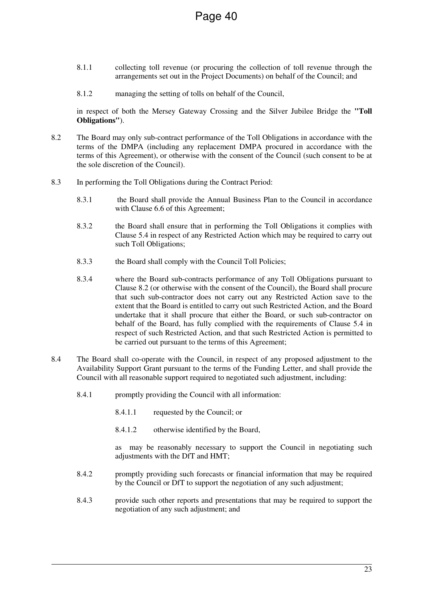- 8.1.1 collecting toll revenue (or procuring the collection of toll revenue through the arrangements set out in the Project Documents) on behalf of the Council; and
- 8.1.2 managing the setting of tolls on behalf of the Council,

in respect of both the Mersey Gateway Crossing and the Silver Jubilee Bridge the **"Toll Obligations"**).

- 8.2 The Board may only sub-contract performance of the Toll Obligations in accordance with the terms of the DMPA (including any replacement DMPA procured in accordance with the terms of this Agreement), or otherwise with the consent of the Council (such consent to be at the sole discretion of the Council).
- 8.3 In performing the Toll Obligations during the Contract Period:
	- 8.3.1 the Board shall provide the Annual Business Plan to the Council in accordance with Clause 6.6 of this Agreement;
	- 8.3.2 the Board shall ensure that in performing the Toll Obligations it complies with Clause 5.4 in respect of any Restricted Action which may be required to carry out such Toll Obligations;
	- 8.3.3 the Board shall comply with the Council Toll Policies;
	- 8.3.4 where the Board sub-contracts performance of any Toll Obligations pursuant to Clause 8.2 (or otherwise with the consent of the Council), the Board shall procure that such sub-contractor does not carry out any Restricted Action save to the extent that the Board is entitled to carry out such Restricted Action, and the Board undertake that it shall procure that either the Board, or such sub-contractor on behalf of the Board, has fully complied with the requirements of Clause 5.4 in respect of such Restricted Action, and that such Restricted Action is permitted to be carried out pursuant to the terms of this Agreement;
- 8.4 The Board shall co-operate with the Council, in respect of any proposed adjustment to the Availability Support Grant pursuant to the terms of the Funding Letter, and shall provide the Council with all reasonable support required to negotiated such adjustment, including:
	- 8.4.1 promptly providing the Council with all information:
		- 8.4.1.1 requested by the Council; or
		- 8.4.1.2 otherwise identified by the Board,

as may be reasonably necessary to support the Council in negotiating such adjustments with the DfT and HMT;

- 8.4.2 promptly providing such forecasts or financial information that may be required by the Council or DfT to support the negotiation of any such adjustment;
- 8.4.3 provide such other reports and presentations that may be required to support the negotiation of any such adjustment; and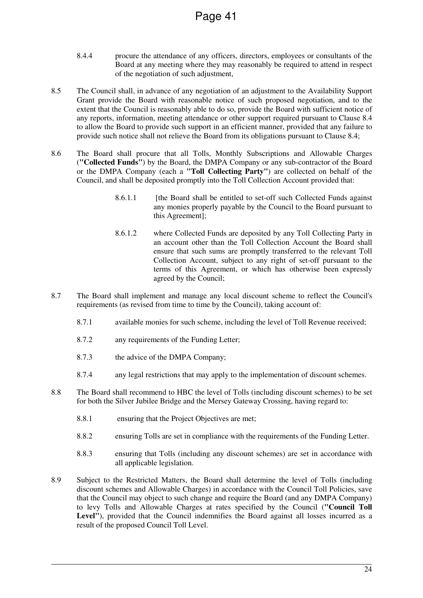- 8.4.4 procure the attendance of any officers, directors, employees or consultants of the Board at any meeting where they may reasonably be required to attend in respect of the negotiation of such adjustment,
- 8.5 The Council shall, in advance of any negotiation of an adjustment to the Availability Support Grant provide the Board with reasonable notice of such proposed negotiation, and to the extent that the Council is reasonably able to do so, provide the Board with sufficient notice of any reports, information, meeting attendance or other support required pursuant to Clause 8.4 to allow the Board to provide such support in an efficient manner, provided that any failure to provide such notice shall not relieve the Board from its obligations pursuant to Clause 8.4;
- 8.6 The Board shall procure that all Tolls, Monthly Subscriptions and Allowable Charges (**"Collected Funds"**) by the Board, the DMPA Company or any sub-contractor of the Board or the DMPA Company (each a **"Toll Collecting Party"**) are collected on behalf of the Council, and shall be deposited promptly into the Toll Collection Account provided that:
	- 8.6.1.1 [the Board shall be entitled to set-off such Collected Funds against any monies properly payable by the Council to the Board pursuant to this Agreement];
	- 8.6.1.2 where Collected Funds are deposited by any Toll Collecting Party in an account other than the Toll Collection Account the Board shall ensure that such sums are promptly transferred to the relevant Toll Collection Account, subject to any right of set-off pursuant to the terms of this Agreement, or which has otherwise been expressly agreed by the Council;
- 8.7 The Board shall implement and manage any local discount scheme to reflect the Council's requirements (as revised from time to time by the Council), taking account of:
	- 8.7.1 available monies for such scheme, including the level of Toll Revenue received;
	- 8.7.2 any requirements of the Funding Letter;
	- 8.7.3 the advice of the DMPA Company;
	- 8.7.4 any legal restrictions that may apply to the implementation of discount schemes.
- 8.8 The Board shall recommend to HBC the level of Tolls (including discount schemes) to be set for both the Silver Jubilee Bridge and the Mersey Gateway Crossing, having regard to:
	- 8.8.1 ensuring that the Project Objectives are met;
	- 8.8.2 ensuring Tolls are set in compliance with the requirements of the Funding Letter.
	- 8.8.3 ensuring that Tolls (including any discount schemes) are set in accordance with all applicable legislation.
- 8.9 Subject to the Restricted Matters, the Board shall determine the level of Tolls (including discount schemes and Allowable Charges) in accordance with the Council Toll Policies, save that the Council may object to such change and require the Board (and any DMPA Company) to levy Tolls and Allowable Charges at rates specified by the Council (**"Council Toll**  Level"), provided that the Council indemnifies the Board against all losses incurred as a result of the proposed Council Toll Level.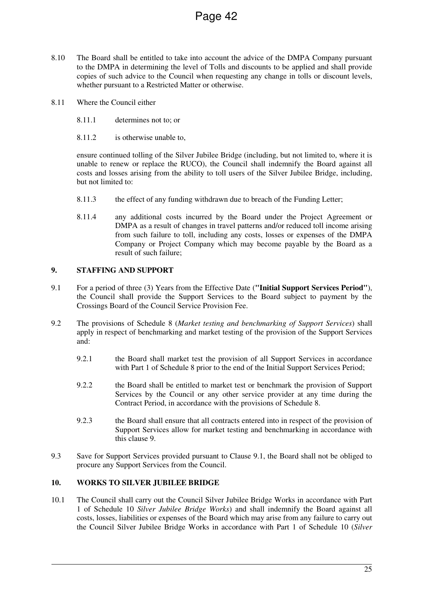- 8.10 The Board shall be entitled to take into account the advice of the DMPA Company pursuant to the DMPA in determining the level of Tolls and discounts to be applied and shall provide copies of such advice to the Council when requesting any change in tolls or discount levels, whether pursuant to a Restricted Matter or otherwise.
- 8.11 Where the Council either
	- 8.11.1 determines not to; or
	- 8.11.2 is otherwise unable to,

ensure continued tolling of the Silver Jubilee Bridge (including, but not limited to, where it is unable to renew or replace the RUCO), the Council shall indemnify the Board against all costs and losses arising from the ability to toll users of the Silver Jubilee Bridge, including, but not limited to:

- 8.11.3 the effect of any funding withdrawn due to breach of the Funding Letter;
- 8.11.4 any additional costs incurred by the Board under the Project Agreement or DMPA as a result of changes in travel patterns and/or reduced toll income arising from such failure to toll, including any costs, losses or expenses of the DMPA Company or Project Company which may become payable by the Board as a result of such failure;

# **9. STAFFING AND SUPPORT**

- 9.1 For a period of three (3) Years from the Effective Date (**"Initial Support Services Period"**), the Council shall provide the Support Services to the Board subject to payment by the Crossings Board of the Council Service Provision Fee.
- 9.2 The provisions of Schedule 8 (*Market testing and benchmarking of Support Services*) shall apply in respect of benchmarking and market testing of the provision of the Support Services and:
	- 9.2.1 the Board shall market test the provision of all Support Services in accordance with Part 1 of Schedule 8 prior to the end of the Initial Support Services Period;
	- 9.2.2 the Board shall be entitled to market test or benchmark the provision of Support Services by the Council or any other service provider at any time during the Contract Period, in accordance with the provisions of Schedule 8.
	- 9.2.3 the Board shall ensure that all contracts entered into in respect of the provision of Support Services allow for market testing and benchmarking in accordance with this clause 9.
- 9.3 Save for Support Services provided pursuant to Clause 9.1, the Board shall not be obliged to procure any Support Services from the Council.

#### **10. WORKS TO SILVER JUBILEE BRIDGE**

10.1 The Council shall carry out the Council Silver Jubilee Bridge Works in accordance with Part 1 of Schedule 10 *Silver Jubilee Bridge Works*) and shall indemnify the Board against all costs, losses, liabilities or expenses of the Board which may arise from any failure to carry out the Council Silver Jubilee Bridge Works in accordance with Part 1 of Schedule 10 (*Silver*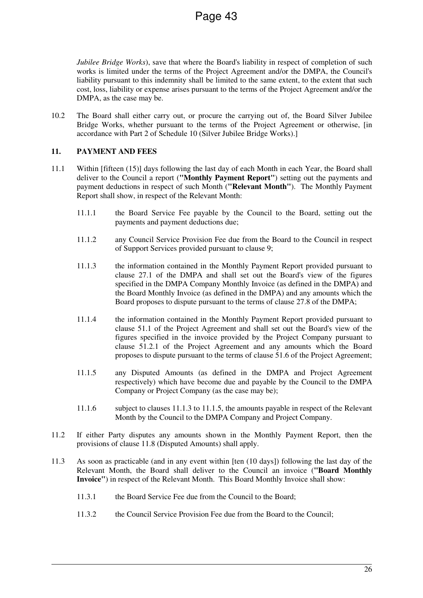*Jubilee Bridge Works*), save that where the Board's liability in respect of completion of such works is limited under the terms of the Project Agreement and/or the DMPA, the Council's liability pursuant to this indemnity shall be limited to the same extent, to the extent that such cost, loss, liability or expense arises pursuant to the terms of the Project Agreement and/or the DMPA, as the case may be.

10.2 The Board shall either carry out, or procure the carrying out of, the Board Silver Jubilee Bridge Works, whether pursuant to the terms of the Project Agreement or otherwise, [in accordance with Part 2 of Schedule 10 (Silver Jubilee Bridge Works).]

# **11. PAYMENT AND FEES**

- 11.1 Within [fifteen (15)] days following the last day of each Month in each Year, the Board shall deliver to the Council a report (**"Monthly Payment Report"**) setting out the payments and payment deductions in respect of such Month (**"Relevant Month"**). The Monthly Payment Report shall show, in respect of the Relevant Month:
	- 11.1.1 the Board Service Fee payable by the Council to the Board, setting out the payments and payment deductions due;
	- 11.1.2 any Council Service Provision Fee due from the Board to the Council in respect of Support Services provided pursuant to clause 9;
	- 11.1.3 the information contained in the Monthly Payment Report provided pursuant to clause 27.1 of the DMPA and shall set out the Board's view of the figures specified in the DMPA Company Monthly Invoice (as defined in the DMPA) and the Board Monthly Invoice (as defined in the DMPA) and any amounts which the Board proposes to dispute pursuant to the terms of clause 27.8 of the DMPA;
	- 11.1.4 the information contained in the Monthly Payment Report provided pursuant to clause 51.1 of the Project Agreement and shall set out the Board's view of the figures specified in the invoice provided by the Project Company pursuant to clause 51.2.1 of the Project Agreement and any amounts which the Board proposes to dispute pursuant to the terms of clause 51.6 of the Project Agreement;
	- 11.1.5 any Disputed Amounts (as defined in the DMPA and Project Agreement respectively) which have become due and payable by the Council to the DMPA Company or Project Company (as the case may be);
	- 11.1.6 subject to clauses 11.1.3 to 11.1.5, the amounts payable in respect of the Relevant Month by the Council to the DMPA Company and Project Company.
- 11.2 If either Party disputes any amounts shown in the Monthly Payment Report, then the provisions of clause 11.8 (Disputed Amounts) shall apply.
- 11.3 As soon as practicable (and in any event within [ten (10 days]) following the last day of the Relevant Month, the Board shall deliver to the Council an invoice (**"Board Monthly Invoice"**) in respect of the Relevant Month. This Board Monthly Invoice shall show:
	- 11.3.1 the Board Service Fee due from the Council to the Board;
	- 11.3.2 the Council Service Provision Fee due from the Board to the Council;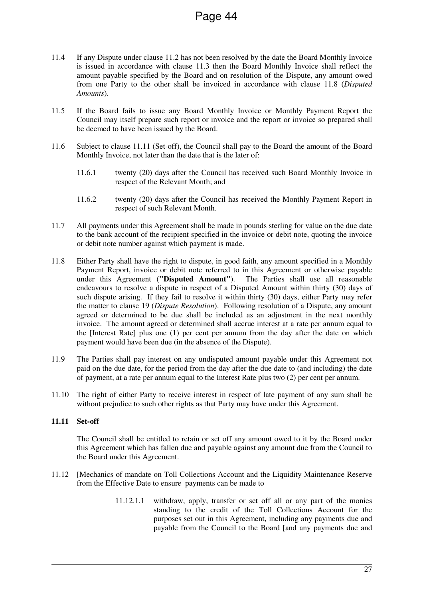- 11.4 If any Dispute under clause 11.2 has not been resolved by the date the Board Monthly Invoice is issued in accordance with clause 11.3 then the Board Monthly Invoice shall reflect the amount payable specified by the Board and on resolution of the Dispute, any amount owed from one Party to the other shall be invoiced in accordance with clause 11.8 (*Disputed Amounts*).
- 11.5 If the Board fails to issue any Board Monthly Invoice or Monthly Payment Report the Council may itself prepare such report or invoice and the report or invoice so prepared shall be deemed to have been issued by the Board.
- 11.6 Subject to clause 11.11 (Set-off), the Council shall pay to the Board the amount of the Board Monthly Invoice, not later than the date that is the later of:
	- 11.6.1 twenty (20) days after the Council has received such Board Monthly Invoice in respect of the Relevant Month; and
	- 11.6.2 twenty (20) days after the Council has received the Monthly Payment Report in respect of such Relevant Month.
- 11.7 All payments under this Agreement shall be made in pounds sterling for value on the due date to the bank account of the recipient specified in the invoice or debit note, quoting the invoice or debit note number against which payment is made.
- 11.8 Either Party shall have the right to dispute, in good faith, any amount specified in a Monthly Payment Report, invoice or debit note referred to in this Agreement or otherwise payable under this Agreement (**"Disputed Amount"**). The Parties shall use all reasonable endeavours to resolve a dispute in respect of a Disputed Amount within thirty (30) days of such dispute arising. If they fail to resolve it within thirty (30) days, either Party may refer the matter to clause 19 (*Dispute Resolution*). Following resolution of a Dispute, any amount agreed or determined to be due shall be included as an adjustment in the next monthly invoice. The amount agreed or determined shall accrue interest at a rate per annum equal to the [Interest Rate] plus one (1) per cent per annum from the day after the date on which payment would have been due (in the absence of the Dispute).
- 11.9 The Parties shall pay interest on any undisputed amount payable under this Agreement not paid on the due date, for the period from the day after the due date to (and including) the date of payment, at a rate per annum equal to the Interest Rate plus two (2) per cent per annum.
- 11.10 The right of either Party to receive interest in respect of late payment of any sum shall be without prejudice to such other rights as that Party may have under this Agreement.

#### **11.11 Set-off**

The Council shall be entitled to retain or set off any amount owed to it by the Board under this Agreement which has fallen due and payable against any amount due from the Council to the Board under this Agreement.

- 11.12 [Mechanics of mandate on Toll Collections Account and the Liquidity Maintenance Reserve from the Effective Date to ensure payments can be made to
	- 11.12.1.1 withdraw, apply, transfer or set off all or any part of the monies standing to the credit of the Toll Collections Account for the purposes set out in this Agreement, including any payments due and payable from the Council to the Board [and any payments due and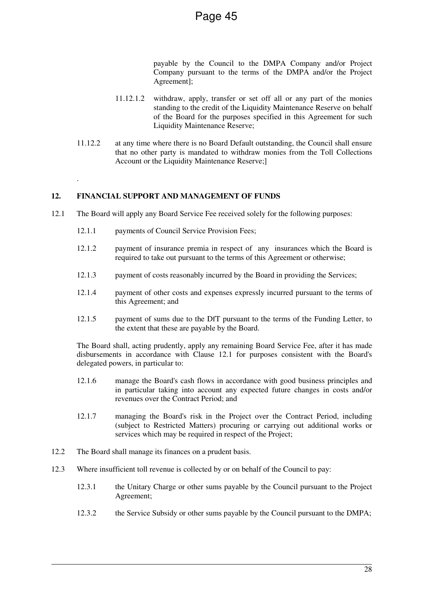payable by the Council to the DMPA Company and/or Project Company pursuant to the terms of the DMPA and/or the Project Agreement];

- 11.12.1.2 withdraw, apply, transfer or set off all or any part of the monies standing to the credit of the Liquidity Maintenance Reserve on behalf of the Board for the purposes specified in this Agreement for such Liquidity Maintenance Reserve;
- 11.12.2 at any time where there is no Board Default outstanding, the Council shall ensure that no other party is mandated to withdraw monies from the Toll Collections Account or the Liquidity Maintenance Reserve:

## **12. FINANCIAL SUPPORT AND MANAGEMENT OF FUNDS**

.

- 12.1 The Board will apply any Board Service Fee received solely for the following purposes:
	- 12.1.1 payments of Council Service Provision Fees;
	- 12.1.2 payment of insurance premia in respect of any insurances which the Board is required to take out pursuant to the terms of this Agreement or otherwise;
	- 12.1.3 payment of costs reasonably incurred by the Board in providing the Services;
	- 12.1.4 payment of other costs and expenses expressly incurred pursuant to the terms of this Agreement; and
	- 12.1.5 payment of sums due to the DfT pursuant to the terms of the Funding Letter, to the extent that these are payable by the Board.

The Board shall, acting prudently, apply any remaining Board Service Fee, after it has made disbursements in accordance with Clause 12.1 for purposes consistent with the Board's delegated powers, in particular to:

- 12.1.6 manage the Board's cash flows in accordance with good business principles and in particular taking into account any expected future changes in costs and/or revenues over the Contract Period; and
- 12.1.7 managing the Board's risk in the Project over the Contract Period, including (subject to Restricted Matters) procuring or carrying out additional works or services which may be required in respect of the Project:
- 12.2 The Board shall manage its finances on a prudent basis.
- 12.3 Where insufficient toll revenue is collected by or on behalf of the Council to pay:
	- 12.3.1 the Unitary Charge or other sums payable by the Council pursuant to the Project Agreement;
	- 12.3.2 the Service Subsidy or other sums payable by the Council pursuant to the DMPA;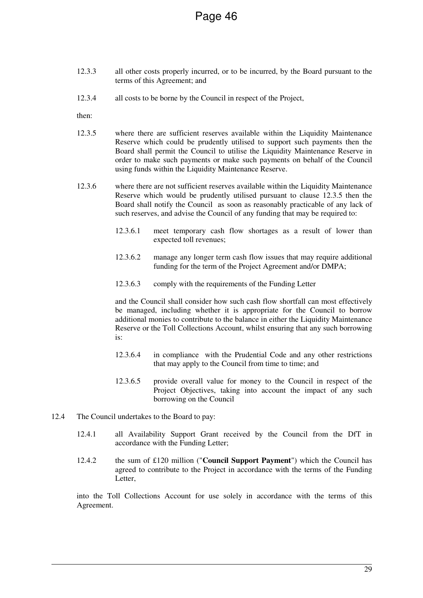- 12.3.3 all other costs properly incurred, or to be incurred, by the Board pursuant to the terms of this Agreement; and
- 12.3.4 all costs to be borne by the Council in respect of the Project,

then:

- 12.3.5 where there are sufficient reserves available within the Liquidity Maintenance Reserve which could be prudently utilised to support such payments then the Board shall permit the Council to utilise the Liquidity Maintenance Reserve in order to make such payments or make such payments on behalf of the Council using funds within the Liquidity Maintenance Reserve.
- 12.3.6 where there are not sufficient reserves available within the Liquidity Maintenance Reserve which would be prudently utilised pursuant to clause 12.3.5 then the Board shall notify the Council as soon as reasonably practicable of any lack of such reserves, and advise the Council of any funding that may be required to:
	- 12.3.6.1 meet temporary cash flow shortages as a result of lower than expected toll revenues;
	- 12.3.6.2 manage any longer term cash flow issues that may require additional funding for the term of the Project Agreement and/or DMPA;
	- 12.3.6.3 comply with the requirements of the Funding Letter

and the Council shall consider how such cash flow shortfall can most effectively be managed, including whether it is appropriate for the Council to borrow additional monies to contribute to the balance in either the Liquidity Maintenance Reserve or the Toll Collections Account, whilst ensuring that any such borrowing is:

- 12.3.6.4 in compliance with the Prudential Code and any other restrictions that may apply to the Council from time to time; and
- 12.3.6.5 provide overall value for money to the Council in respect of the Project Objectives, taking into account the impact of any such borrowing on the Council
- 12.4 The Council undertakes to the Board to pay:
	- 12.4.1 all Availability Support Grant received by the Council from the DfT in accordance with the Funding Letter;
	- 12.4.2 the sum of £120 million ("**Council Support Payment**") which the Council has agreed to contribute to the Project in accordance with the terms of the Funding Letter,

into the Toll Collections Account for use solely in accordance with the terms of this Agreement.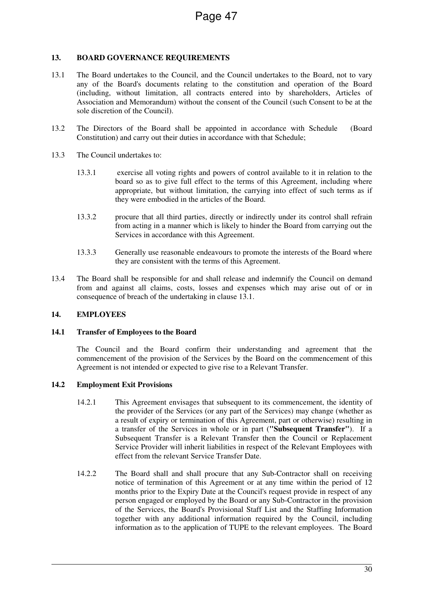# **13. BOARD GOVERNANCE REQUIREMENTS**

- 13.1 The Board undertakes to the Council, and the Council undertakes to the Board, not to vary any of the Board's documents relating to the constitution and operation of the Board (including, without limitation, all contracts entered into by shareholders, Articles of Association and Memorandum) without the consent of the Council (such Consent to be at the sole discretion of the Council).
- 13.2 The Directors of the Board shall be appointed in accordance with Schedule (Board Constitution) and carry out their duties in accordance with that Schedule;
- 13.3 The Council undertakes to:
	- 13.3.1 exercise all voting rights and powers of control available to it in relation to the board so as to give full effect to the terms of this Agreement, including where appropriate, but without limitation, the carrying into effect of such terms as if they were embodied in the articles of the Board.
	- 13.3.2 procure that all third parties, directly or indirectly under its control shall refrain from acting in a manner which is likely to hinder the Board from carrying out the Services in accordance with this Agreement.
	- 13.3.3 Generally use reasonable endeavours to promote the interests of the Board where they are consistent with the terms of this Agreement.
- 13.4 The Board shall be responsible for and shall release and indemnify the Council on demand from and against all claims, costs, losses and expenses which may arise out of or in consequence of breach of the undertaking in clause 13.1.

# **14. EMPLOYEES**

# **14.1 Transfer of Employees to the Board**

The Council and the Board confirm their understanding and agreement that the commencement of the provision of the Services by the Board on the commencement of this Agreement is not intended or expected to give rise to a Relevant Transfer.

#### **14.2 Employment Exit Provisions**

- 14.2.1 This Agreement envisages that subsequent to its commencement, the identity of the provider of the Services (or any part of the Services) may change (whether as a result of expiry or termination of this Agreement, part or otherwise) resulting in a transfer of the Services in whole or in part (**"Subsequent Transfer"**). If a Subsequent Transfer is a Relevant Transfer then the Council or Replacement Service Provider will inherit liabilities in respect of the Relevant Employees with effect from the relevant Service Transfer Date.
- 14.2.2 The Board shall and shall procure that any Sub-Contractor shall on receiving notice of termination of this Agreement or at any time within the period of 12 months prior to the Expiry Date at the Council's request provide in respect of any person engaged or employed by the Board or any Sub-Contractor in the provision of the Services, the Board's Provisional Staff List and the Staffing Information together with any additional information required by the Council, including information as to the application of TUPE to the relevant employees. The Board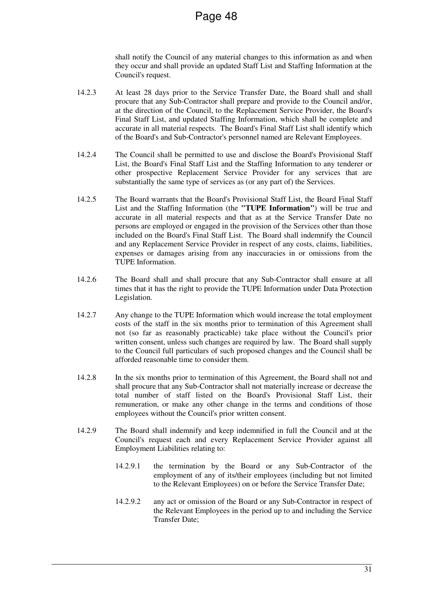shall notify the Council of any material changes to this information as and when they occur and shall provide an updated Staff List and Staffing Information at the Council's request.

- 14.2.3 At least 28 days prior to the Service Transfer Date, the Board shall and shall procure that any Sub-Contractor shall prepare and provide to the Council and/or, at the direction of the Council, to the Replacement Service Provider, the Board's Final Staff List, and updated Staffing Information, which shall be complete and accurate in all material respects. The Board's Final Staff List shall identify which of the Board's and Sub-Contractor's personnel named are Relevant Employees.
- 14.2.4 The Council shall be permitted to use and disclose the Board's Provisional Staff List, the Board's Final Staff List and the Staffing Information to any tenderer or other prospective Replacement Service Provider for any services that are substantially the same type of services as (or any part of) the Services.
- 14.2.5 The Board warrants that the Board's Provisional Staff List, the Board Final Staff List and the Staffing Information (the **"TUPE Information"**) will be true and accurate in all material respects and that as at the Service Transfer Date no persons are employed or engaged in the provision of the Services other than those included on the Board's Final Staff List. The Board shall indemnify the Council and any Replacement Service Provider in respect of any costs, claims, liabilities, expenses or damages arising from any inaccuracies in or omissions from the TUPE Information.
- 14.2.6 The Board shall and shall procure that any Sub-Contractor shall ensure at all times that it has the right to provide the TUPE Information under Data Protection Legislation.
- 14.2.7 Any change to the TUPE Information which would increase the total employment costs of the staff in the six months prior to termination of this Agreement shall not (so far as reasonably practicable) take place without the Council's prior written consent, unless such changes are required by law. The Board shall supply to the Council full particulars of such proposed changes and the Council shall be afforded reasonable time to consider them.
- 14.2.8 In the six months prior to termination of this Agreement, the Board shall not and shall procure that any Sub-Contractor shall not materially increase or decrease the total number of staff listed on the Board's Provisional Staff List, their remuneration, or make any other change in the terms and conditions of those employees without the Council's prior written consent.
- 14.2.9 The Board shall indemnify and keep indemnified in full the Council and at the Council's request each and every Replacement Service Provider against all Employment Liabilities relating to:
	- 14.2.9.1 the termination by the Board or any Sub-Contractor of the employment of any of its/their employees (including but not limited to the Relevant Employees) on or before the Service Transfer Date;
	- 14.2.9.2 any act or omission of the Board or any Sub-Contractor in respect of the Relevant Employees in the period up to and including the Service Transfer Date;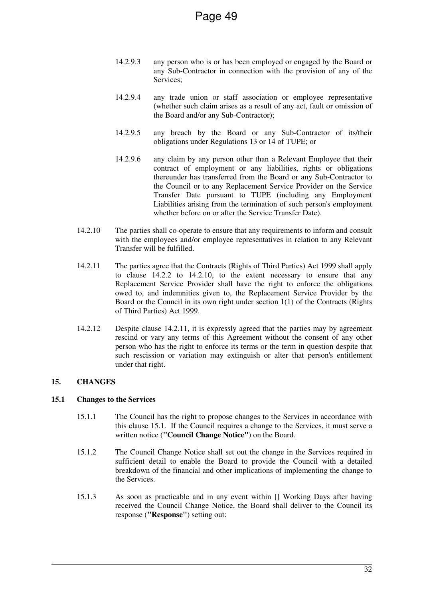- 14.2.9.3 any person who is or has been employed or engaged by the Board or any Sub-Contractor in connection with the provision of any of the Services;
- 14.2.9.4 any trade union or staff association or employee representative (whether such claim arises as a result of any act, fault or omission of the Board and/or any Sub-Contractor);
- 14.2.9.5 any breach by the Board or any Sub-Contractor of its/their obligations under Regulations 13 or 14 of TUPE; or
- 14.2.9.6 any claim by any person other than a Relevant Employee that their contract of employment or any liabilities, rights or obligations thereunder has transferred from the Board or any Sub-Contractor to the Council or to any Replacement Service Provider on the Service Transfer Date pursuant to TUPE (including any Employment Liabilities arising from the termination of such person's employment whether before on or after the Service Transfer Date).
- 14.2.10 The parties shall co-operate to ensure that any requirements to inform and consult with the employees and/or employee representatives in relation to any Relevant Transfer will be fulfilled.
- 14.2.11 The parties agree that the Contracts (Rights of Third Parties) Act 1999 shall apply to clause 14.2.2 to 14.2.10, to the extent necessary to ensure that any Replacement Service Provider shall have the right to enforce the obligations owed to, and indemnities given to, the Replacement Service Provider by the Board or the Council in its own right under section 1(1) of the Contracts (Rights of Third Parties) Act 1999.
- 14.2.12 Despite clause 14.2.11, it is expressly agreed that the parties may by agreement rescind or vary any terms of this Agreement without the consent of any other person who has the right to enforce its terms or the term in question despite that such rescission or variation may extinguish or alter that person's entitlement under that right.

# **15. CHANGES**

#### **15.1 Changes to the Services**

- 15.1.1 The Council has the right to propose changes to the Services in accordance with this clause 15.1. If the Council requires a change to the Services, it must serve a written notice (**"Council Change Notice"**) on the Board.
- 15.1.2 The Council Change Notice shall set out the change in the Services required in sufficient detail to enable the Board to provide the Council with a detailed breakdown of the financial and other implications of implementing the change to the Services.
- 15.1.3 As soon as practicable and in any event within [] Working Days after having received the Council Change Notice, the Board shall deliver to the Council its response (**"Response"**) setting out: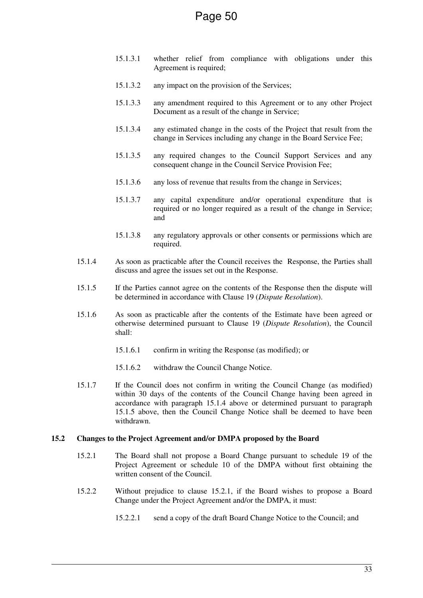- 15.1.3.1 whether relief from compliance with obligations under this Agreement is required;
- 15.1.3.2 any impact on the provision of the Services;
- 15.1.3.3 any amendment required to this Agreement or to any other Project Document as a result of the change in Service;
- 15.1.3.4 any estimated change in the costs of the Project that result from the change in Services including any change in the Board Service Fee;
- 15.1.3.5 any required changes to the Council Support Services and any consequent change in the Council Service Provision Fee;
- 15.1.3.6 any loss of revenue that results from the change in Services;
- 15.1.3.7 any capital expenditure and/or operational expenditure that is required or no longer required as a result of the change in Service; and
- 15.1.3.8 any regulatory approvals or other consents or permissions which are required.
- 15.1.4 As soon as practicable after the Council receives the Response, the Parties shall discuss and agree the issues set out in the Response.
- 15.1.5 If the Parties cannot agree on the contents of the Response then the dispute will be determined in accordance with Clause 19 (*Dispute Resolution*).
- 15.1.6 As soon as practicable after the contents of the Estimate have been agreed or otherwise determined pursuant to Clause 19 (*Dispute Resolution*), the Council shall:
	- 15.1.6.1 confirm in writing the Response (as modified); or
	- 15.1.6.2 withdraw the Council Change Notice.
- 15.1.7 If the Council does not confirm in writing the Council Change (as modified) within 30 days of the contents of the Council Change having been agreed in accordance with paragraph 15.1.4 above or determined pursuant to paragraph 15.1.5 above, then the Council Change Notice shall be deemed to have been withdrawn.

#### **15.2 Changes to the Project Agreement and/or DMPA proposed by the Board**

- 15.2.1 The Board shall not propose a Board Change pursuant to schedule 19 of the Project Agreement or schedule 10 of the DMPA without first obtaining the written consent of the Council.
- 15.2.2 Without prejudice to clause 15.2.1, if the Board wishes to propose a Board Change under the Project Agreement and/or the DMPA, it must:
	- 15.2.2.1 send a copy of the draft Board Change Notice to the Council; and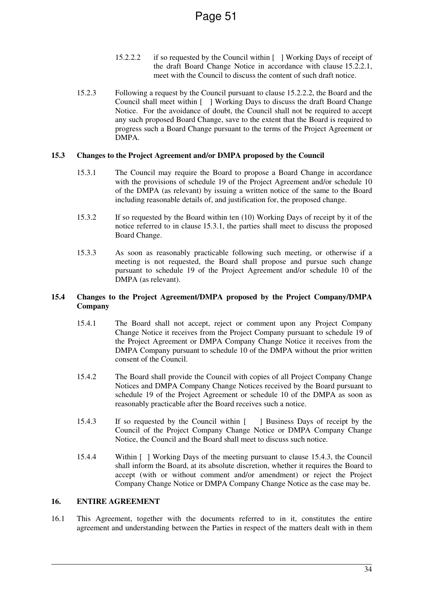- 15.2.2.2 if so requested by the Council within [ ] Working Days of receipt of the draft Board Change Notice in accordance with clause 15.2.2.1, meet with the Council to discuss the content of such draft notice.
- 15.2.3 Following a request by the Council pursuant to clause 15.2.2.2, the Board and the Council shall meet within [ ] Working Days to discuss the draft Board Change Notice. For the avoidance of doubt, the Council shall not be required to accept any such proposed Board Change, save to the extent that the Board is required to progress such a Board Change pursuant to the terms of the Project Agreement or DMPA.

#### **15.3 Changes to the Project Agreement and/or DMPA proposed by the Council**

- 15.3.1 The Council may require the Board to propose a Board Change in accordance with the provisions of schedule 19 of the Project Agreement and/or schedule 10 of the DMPA (as relevant) by issuing a written notice of the same to the Board including reasonable details of, and justification for, the proposed change.
- 15.3.2 If so requested by the Board within ten (10) Working Days of receipt by it of the notice referred to in clause 15.3.1, the parties shall meet to discuss the proposed Board Change.
- 15.3.3 As soon as reasonably practicable following such meeting, or otherwise if a meeting is not requested, the Board shall propose and pursue such change pursuant to schedule 19 of the Project Agreement and/or schedule 10 of the DMPA (as relevant).

## **15.4 Changes to the Project Agreement/DMPA proposed by the Project Company/DMPA Company**

- 15.4.1 The Board shall not accept, reject or comment upon any Project Company Change Notice it receives from the Project Company pursuant to schedule 19 of the Project Agreement or DMPA Company Change Notice it receives from the DMPA Company pursuant to schedule 10 of the DMPA without the prior written consent of the Council.
- 15.4.2 The Board shall provide the Council with copies of all Project Company Change Notices and DMPA Company Change Notices received by the Board pursuant to schedule 19 of the Project Agreement or schedule 10 of the DMPA as soon as reasonably practicable after the Board receives such a notice.
- 15.4.3 If so requested by the Council within [ ] Business Days of receipt by the Council of the Project Company Change Notice or DMPA Company Change Notice, the Council and the Board shall meet to discuss such notice.
- 15.4.4 Within [ ] Working Days of the meeting pursuant to clause 15.4.3, the Council shall inform the Board, at its absolute discretion, whether it requires the Board to accept (with or without comment and/or amendment) or reject the Project Company Change Notice or DMPA Company Change Notice as the case may be.

# **16. ENTIRE AGREEMENT**

16.1 This Agreement, together with the documents referred to in it, constitutes the entire agreement and understanding between the Parties in respect of the matters dealt with in them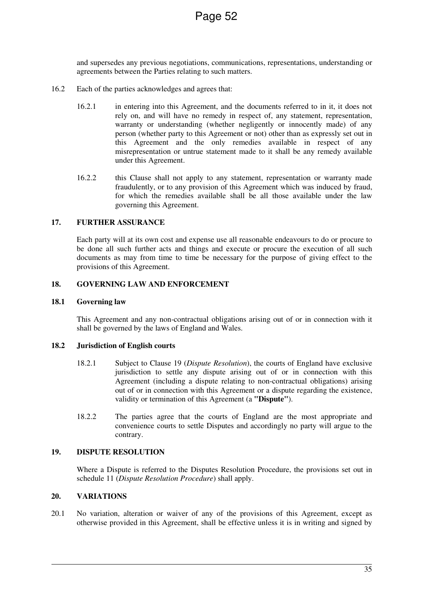and supersedes any previous negotiations, communications, representations, understanding or agreements between the Parties relating to such matters.

- 16.2 Each of the parties acknowledges and agrees that:
	- 16.2.1 in entering into this Agreement, and the documents referred to in it, it does not rely on, and will have no remedy in respect of, any statement, representation, warranty or understanding (whether negligently or innocently made) of any person (whether party to this Agreement or not) other than as expressly set out in this Agreement and the only remedies available in respect of any misrepresentation or untrue statement made to it shall be any remedy available under this Agreement.
	- 16.2.2 this Clause shall not apply to any statement, representation or warranty made fraudulently, or to any provision of this Agreement which was induced by fraud, for which the remedies available shall be all those available under the law governing this Agreement.

#### **17. FURTHER ASSURANCE**

Each party will at its own cost and expense use all reasonable endeavours to do or procure to be done all such further acts and things and execute or procure the execution of all such documents as may from time to time be necessary for the purpose of giving effect to the provisions of this Agreement.

#### **18. GOVERNING LAW AND ENFORCEMENT**

#### **18.1 Governing law**

This Agreement and any non-contractual obligations arising out of or in connection with it shall be governed by the laws of England and Wales.

#### **18.2 Jurisdiction of English courts**

- 18.2.1 Subject to Clause 19 (*Dispute Resolution*), the courts of England have exclusive jurisdiction to settle any dispute arising out of or in connection with this Agreement (including a dispute relating to non-contractual obligations) arising out of or in connection with this Agreement or a dispute regarding the existence, validity or termination of this Agreement (a **"Dispute"**).
- 18.2.2 The parties agree that the courts of England are the most appropriate and convenience courts to settle Disputes and accordingly no party will argue to the contrary.

#### **19. DISPUTE RESOLUTION**

Where a Dispute is referred to the Disputes Resolution Procedure, the provisions set out in schedule 11 (*Dispute Resolution Procedure*) shall apply.

#### **20. VARIATIONS**

20.1 No variation, alteration or waiver of any of the provisions of this Agreement, except as otherwise provided in this Agreement, shall be effective unless it is in writing and signed by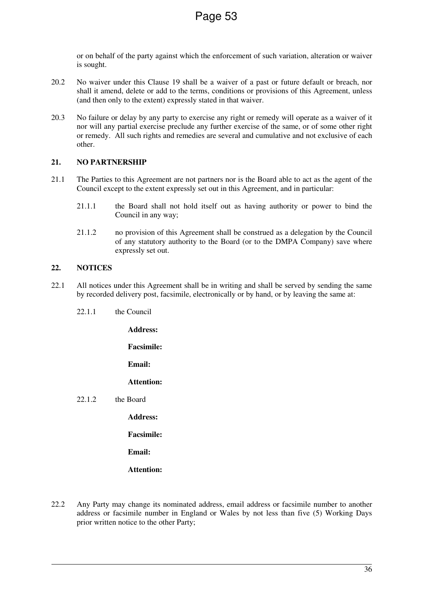or on behalf of the party against which the enforcement of such variation, alteration or waiver is sought.

- 20.2 No waiver under this Clause 19 shall be a waiver of a past or future default or breach, nor shall it amend, delete or add to the terms, conditions or provisions of this Agreement, unless (and then only to the extent) expressly stated in that waiver.
- 20.3 No failure or delay by any party to exercise any right or remedy will operate as a waiver of it nor will any partial exercise preclude any further exercise of the same, or of some other right or remedy. All such rights and remedies are several and cumulative and not exclusive of each other.

## **21. NO PARTNERSHIP**

- 21.1 The Parties to this Agreement are not partners nor is the Board able to act as the agent of the Council except to the extent expressly set out in this Agreement, and in particular:
	- 21.1.1 the Board shall not hold itself out as having authority or power to bind the Council in any way;
	- 21.1.2 no provision of this Agreement shall be construed as a delegation by the Council of any statutory authority to the Board (or to the DMPA Company) save where expressly set out.

## **22. NOTICES**

- 22.1 All notices under this Agreement shall be in writing and shall be served by sending the same by recorded delivery post, facsimile, electronically or by hand, or by leaving the same at:
	- 22.1.1 the Council

**Address:** 

**Facsimile:** 

**Email:** 

**Attention:** 

22.1.2 the Board

**Address:** 

**Facsimile:** 

**Email:** 

**Attention:** 

22.2 Any Party may change its nominated address, email address or facsimile number to another address or facsimile number in England or Wales by not less than five (5) Working Days prior written notice to the other Party;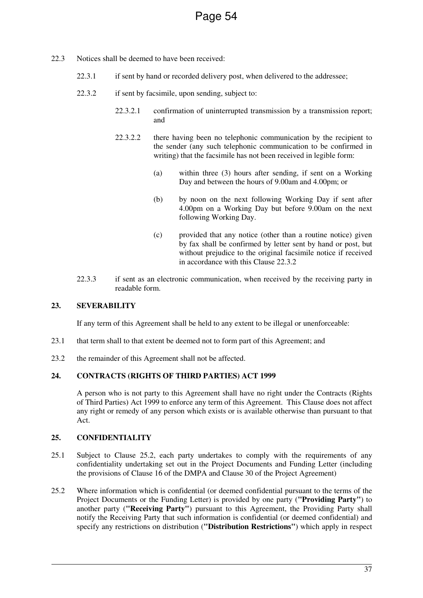- 22.3 Notices shall be deemed to have been received:
	- 22.3.1 if sent by hand or recorded delivery post, when delivered to the addressee;
	- 22.3.2 if sent by facsimile, upon sending, subject to:
		- 22.3.2.1 confirmation of uninterrupted transmission by a transmission report; and
		- 22.3.2.2 there having been no telephonic communication by the recipient to the sender (any such telephonic communication to be confirmed in writing) that the facsimile has not been received in legible form:
			- (a) within three (3) hours after sending, if sent on a Working Day and between the hours of 9.00am and 4.00pm; or
			- (b) by noon on the next following Working Day if sent after 4.00pm on a Working Day but before 9.00am on the next following Working Day.
			- (c) provided that any notice (other than a routine notice) given by fax shall be confirmed by letter sent by hand or post, but without prejudice to the original facsimile notice if received in accordance with this Clause 22.3.2
	- 22.3.3 if sent as an electronic communication, when received by the receiving party in readable form.

# **23. SEVERABILITY**

If any term of this Agreement shall be held to any extent to be illegal or unenforceable:

- 23.1 that term shall to that extent be deemed not to form part of this Agreement; and
- 23.2 the remainder of this Agreement shall not be affected.

# **24. CONTRACTS (RIGHTS OF THIRD PARTIES) ACT 1999**

A person who is not party to this Agreement shall have no right under the Contracts (Rights of Third Parties) Act 1999 to enforce any term of this Agreement. This Clause does not affect any right or remedy of any person which exists or is available otherwise than pursuant to that Act.

#### **25. CONFIDENTIALITY**

- 25.1 Subject to Clause 25.2, each party undertakes to comply with the requirements of any confidentiality undertaking set out in the Project Documents and Funding Letter (including the provisions of Clause 16 of the DMPA and Clause 30 of the Project Agreement)
- 25.2 Where information which is confidential (or deemed confidential pursuant to the terms of the Project Documents or the Funding Letter) is provided by one party (**"Providing Party"**) to another party (**"Receiving Party"**) pursuant to this Agreement, the Providing Party shall notify the Receiving Party that such information is confidential (or deemed confidential) and specify any restrictions on distribution (**"Distribution Restrictions"**) which apply in respect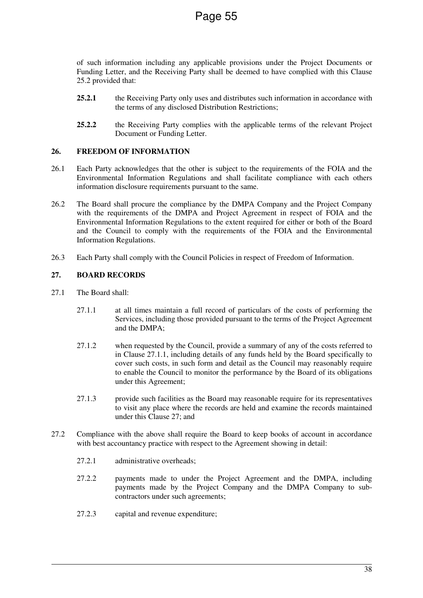of such information including any applicable provisions under the Project Documents or Funding Letter, and the Receiving Party shall be deemed to have complied with this Clause 25.2 provided that:

- **25.2.1** the Receiving Party only uses and distributes such information in accordance with the terms of any disclosed Distribution Restrictions;
- 25.2.2 the Receiving Party complies with the applicable terms of the relevant Project Document or Funding Letter.

#### **26. FREEDOM OF INFORMATION**

- 26.1 Each Party acknowledges that the other is subject to the requirements of the FOIA and the Environmental Information Regulations and shall facilitate compliance with each others information disclosure requirements pursuant to the same.
- 26.2 The Board shall procure the compliance by the DMPA Company and the Project Company with the requirements of the DMPA and Project Agreement in respect of FOIA and the Environmental Information Regulations to the extent required for either or both of the Board and the Council to comply with the requirements of the FOIA and the Environmental Information Regulations.
- 26.3 Each Party shall comply with the Council Policies in respect of Freedom of Information.

# **27. BOARD RECORDS**

- 27.1 The Board shall:
	- 27.1.1 at all times maintain a full record of particulars of the costs of performing the Services, including those provided pursuant to the terms of the Project Agreement and the DMPA;
	- 27.1.2 when requested by the Council, provide a summary of any of the costs referred to in Clause 27.1.1, including details of any funds held by the Board specifically to cover such costs, in such form and detail as the Council may reasonably require to enable the Council to monitor the performance by the Board of its obligations under this Agreement;
	- 27.1.3 provide such facilities as the Board may reasonable require for its representatives to visit any place where the records are held and examine the records maintained under this Clause 27; and
- 27.2 Compliance with the above shall require the Board to keep books of account in accordance with best accountancy practice with respect to the Agreement showing in detail:
	- 27.2.1 administrative overheads;
	- 27.2.2 payments made to under the Project Agreement and the DMPA, including payments made by the Project Company and the DMPA Company to subcontractors under such agreements;
	- 27.2.3 capital and revenue expenditure;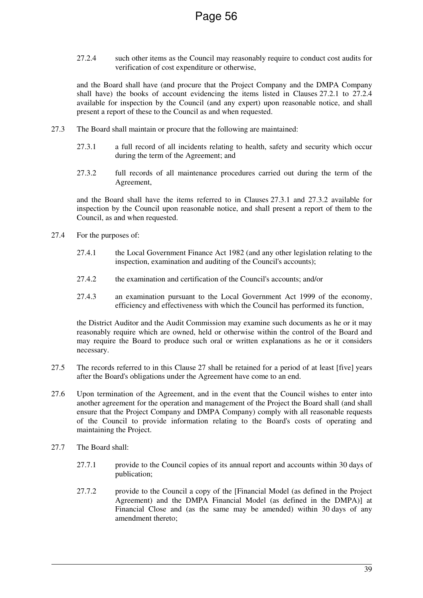27.2.4 such other items as the Council may reasonably require to conduct cost audits for verification of cost expenditure or otherwise,

and the Board shall have (and procure that the Project Company and the DMPA Company shall have) the books of account evidencing the items listed in Clauses 27.2.1 to 27.2.4 available for inspection by the Council (and any expert) upon reasonable notice, and shall present a report of these to the Council as and when requested.

- 27.3 The Board shall maintain or procure that the following are maintained:
	- 27.3.1 a full record of all incidents relating to health, safety and security which occur during the term of the Agreement; and
	- 27.3.2 full records of all maintenance procedures carried out during the term of the Agreement,

and the Board shall have the items referred to in Clauses 27.3.1 and 27.3.2 available for inspection by the Council upon reasonable notice, and shall present a report of them to the Council, as and when requested.

- 27.4 For the purposes of:
	- 27.4.1 the Local Government Finance Act 1982 (and any other legislation relating to the inspection, examination and auditing of the Council's accounts);
	- 27.4.2 the examination and certification of the Council's accounts; and/or
	- 27.4.3 an examination pursuant to the Local Government Act 1999 of the economy, efficiency and effectiveness with which the Council has performed its function,

the District Auditor and the Audit Commission may examine such documents as he or it may reasonably require which are owned, held or otherwise within the control of the Board and may require the Board to produce such oral or written explanations as he or it considers necessary.

- 27.5 The records referred to in this Clause 27 shall be retained for a period of at least [five] years after the Board's obligations under the Agreement have come to an end.
- 27.6 Upon termination of the Agreement, and in the event that the Council wishes to enter into another agreement for the operation and management of the Project the Board shall (and shall ensure that the Project Company and DMPA Company) comply with all reasonable requests of the Council to provide information relating to the Board's costs of operating and maintaining the Project.
- 27.7 The Board shall:
	- 27.7.1 provide to the Council copies of its annual report and accounts within 30 days of publication;
	- 27.7.2 provide to the Council a copy of the [Financial Model (as defined in the Project Agreement) and the DMPA Financial Model (as defined in the DMPA)] at Financial Close and (as the same may be amended) within 30 days of any amendment thereto;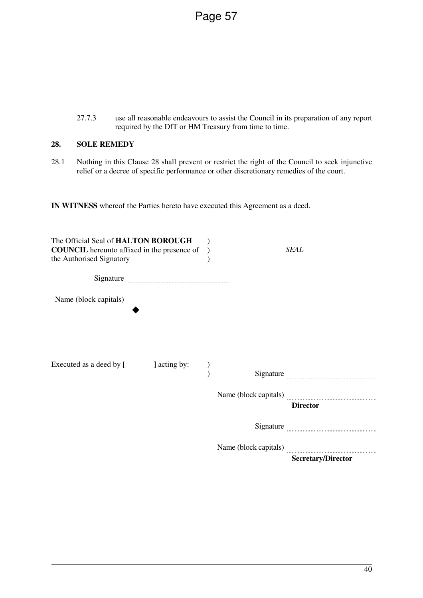27.7.3 use all reasonable endeavours to assist the Council in its preparation of any report required by the DfT or HM Treasury from time to time.

# **28. SOLE REMEDY**

28.1 Nothing in this Clause 28 shall prevent or restrict the right of the Council to seek injunctive relief or a decree of specific performance or other discretionary remedies of the court.

**IN WITNESS** whereof the Parties hereto have executed this Agreement as a deed.

| The Official Seal of HALTON BOROUGH<br><b>COUNCIL</b> hereunto affixed in the presence of<br>the Authorised Signatory |              |  | SEAL                                                                                                                                                                                                                                                                       |
|-----------------------------------------------------------------------------------------------------------------------|--------------|--|----------------------------------------------------------------------------------------------------------------------------------------------------------------------------------------------------------------------------------------------------------------------------|
|                                                                                                                       |              |  |                                                                                                                                                                                                                                                                            |
|                                                                                                                       |              |  |                                                                                                                                                                                                                                                                            |
| Executed as a deed by [                                                                                               | ] acting by: |  | Signature expressions and the state of the state of the state of the state of the state of the state of the state of the state of the state of the state of the state of the state of the state of the state of the state of t<br>Name (block capitals)<br><b>Director</b> |
|                                                                                                                       |              |  |                                                                                                                                                                                                                                                                            |
|                                                                                                                       |              |  | <b>Secretary/Director</b>                                                                                                                                                                                                                                                  |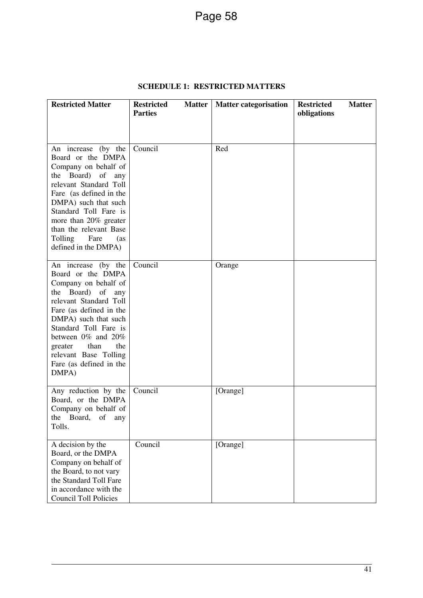| <b>Restricted Matter</b>                                                                                                                                                                                                                                                                                    | <b>Restricted</b><br><b>Matter</b><br><b>Parties</b> | <b>Matter categorisation</b> | <b>Restricted</b><br><b>Matter</b><br>obligations |
|-------------------------------------------------------------------------------------------------------------------------------------------------------------------------------------------------------------------------------------------------------------------------------------------------------------|------------------------------------------------------|------------------------------|---------------------------------------------------|
| An increase (by the<br>Board or the DMPA<br>Company on behalf of<br>the Board) of any<br>relevant Standard Toll<br>Fare (as defined in the<br>DMPA) such that such<br>Standard Toll Fare is<br>more than 20% greater<br>than the relevant Base<br>Tolling Fare<br>(as<br>defined in the DMPA)               | Council                                              | Red                          |                                                   |
| An increase (by the<br>Board or the DMPA<br>Company on behalf of<br>the Board) of<br>any<br>relevant Standard Toll<br>Fare (as defined in the<br>DMPA) such that such<br>Standard Toll Fare is<br>between 0% and 20%<br>the<br>than<br>greater<br>relevant Base Tolling<br>Fare (as defined in the<br>DMPA) | Council                                              | Orange                       |                                                   |
| Any reduction by the<br>Board, or the DMPA<br>Company on behalf of<br>the Board, of any<br>Tolls.                                                                                                                                                                                                           | Council                                              | [Orange]                     |                                                   |
| A decision by the<br>Board, or the DMPA<br>Company on behalf of<br>the Board, to not vary<br>the Standard Toll Fare<br>in accordance with the<br><b>Council Toll Policies</b>                                                                                                                               | Council                                              | [Orange]                     |                                                   |

# **SCHEDULE 1: RESTRICTED MATTERS**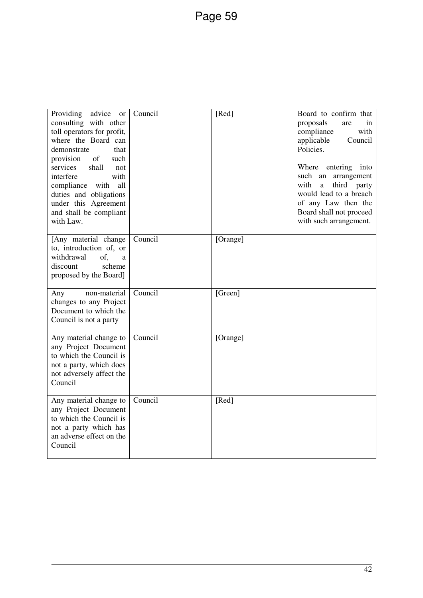| Providing<br>advice<br><b>or</b><br>consulting with other<br>toll operators for profit,<br>where the Board can<br>demonstrate<br>that<br>of<br>provision<br>such<br>services<br>shall<br>not<br>interfere<br>with<br>compliance with<br>all<br>duties and obligations<br>under this Agreement<br>and shall be compliant<br>with Law. | Council | [Red]    | Board to confirm that<br>proposals<br>in<br>are<br>compliance<br>with<br>applicable<br>Council<br>Policies.<br>Where entering into<br>such an<br>arrangement<br>with<br>third party<br>a<br>would lead to a breach<br>of any Law then the<br>Board shall not proceed<br>with such arrangement. |
|--------------------------------------------------------------------------------------------------------------------------------------------------------------------------------------------------------------------------------------------------------------------------------------------------------------------------------------|---------|----------|------------------------------------------------------------------------------------------------------------------------------------------------------------------------------------------------------------------------------------------------------------------------------------------------|
| [Any material change<br>to, introduction of, or<br>withdrawal<br>of,<br>a<br>discount<br>scheme<br>proposed by the Board]                                                                                                                                                                                                            | Council | [Orange] |                                                                                                                                                                                                                                                                                                |
| non-material<br>Any<br>changes to any Project<br>Document to which the<br>Council is not a party                                                                                                                                                                                                                                     | Council | [Green]  |                                                                                                                                                                                                                                                                                                |
| Any material change to<br>any Project Document<br>to which the Council is<br>not a party, which does<br>not adversely affect the<br>Council                                                                                                                                                                                          | Council | [Orange] |                                                                                                                                                                                                                                                                                                |
| Any material change to<br>any Project Document<br>to which the Council is<br>not a party which has<br>an adverse effect on the<br>Council                                                                                                                                                                                            | Council | [Red]    |                                                                                                                                                                                                                                                                                                |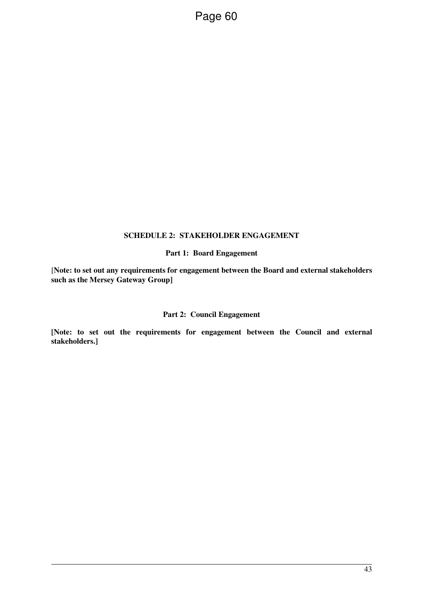#### **SCHEDULE 2: STAKEHOLDER ENGAGEMENT**

#### **Part 1: Board Engagement**

[**Note: to set out any requirements for engagement between the Board and external stakeholders such as the Mersey Gateway Group]** 

#### **Part 2: Council Engagement**

**[Note: to set out the requirements for engagement between the Council and external stakeholders.]**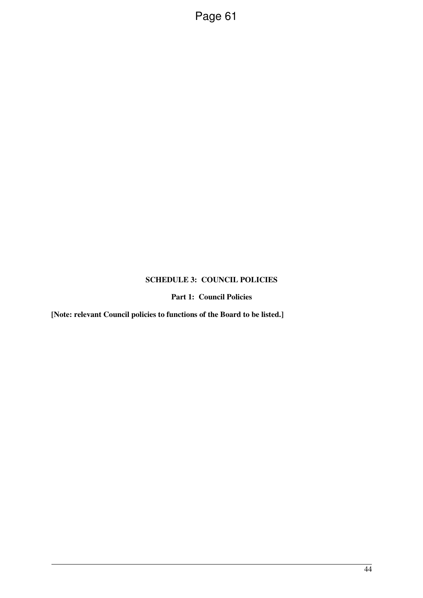# **SCHEDULE 3: COUNCIL POLICIES**

## **Part 1: Council Policies**

**[Note: relevant Council policies to functions of the Board to be listed.]**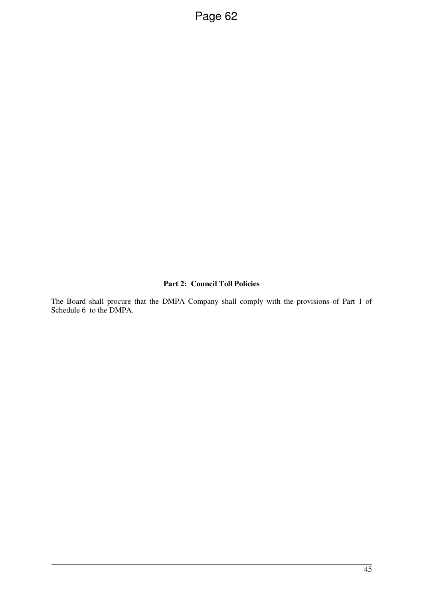# **Part 2: Council Toll Policies**

The Board shall procure that the DMPA Company shall comply with the provisions of Part 1 of Schedule 6 to the DMPA.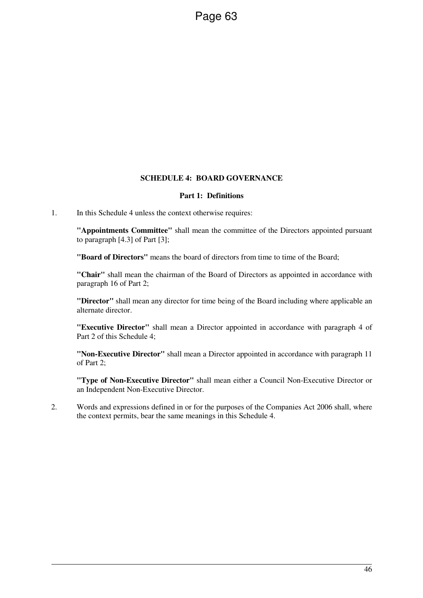## **SCHEDULE 4: BOARD GOVERNANCE**

#### **Part 1: Definitions**

1. In this Schedule 4 unless the context otherwise requires:

**"Appointments Committee"** shall mean the committee of the Directors appointed pursuant to paragraph [4.3] of Part [3];

**"Board of Directors"** means the board of directors from time to time of the Board;

**"Chair"** shall mean the chairman of the Board of Directors as appointed in accordance with paragraph 16 of Part 2;

**"Director"** shall mean any director for time being of the Board including where applicable an alternate director.

**"Executive Director"** shall mean a Director appointed in accordance with paragraph 4 of Part 2 of this Schedule 4;

**"Non-Executive Director"** shall mean a Director appointed in accordance with paragraph 11 of Part 2;

**"Type of Non-Executive Director"** shall mean either a Council Non-Executive Director or an Independent Non-Executive Director.

2. Words and expressions defined in or for the purposes of the Companies Act 2006 shall, where the context permits, bear the same meanings in this Schedule 4.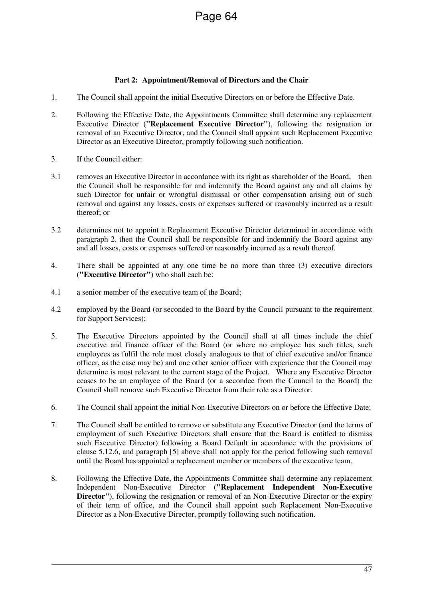# **Part 2: Appointment/Removal of Directors and the Chair**

- 1. The Council shall appoint the initial Executive Directors on or before the Effective Date.
- 2. Following the Effective Date, the Appointments Committee shall determine any replacement Executive Director **("Replacement Executive Director"**), following the resignation or removal of an Executive Director, and the Council shall appoint such Replacement Executive Director as an Executive Director, promptly following such notification.
- 3. If the Council either:
- 3.1 removes an Executive Director in accordance with its right as shareholder of the Board, then the Council shall be responsible for and indemnify the Board against any and all claims by such Director for unfair or wrongful dismissal or other compensation arising out of such removal and against any losses, costs or expenses suffered or reasonably incurred as a result thereof; or
- 3.2 determines not to appoint a Replacement Executive Director determined in accordance with paragraph 2, then the Council shall be responsible for and indemnify the Board against any and all losses, costs or expenses suffered or reasonably incurred as a result thereof.
- 4. There shall be appointed at any one time be no more than three (3) executive directors (**"Executive Director"**) who shall each be:
- 4.1 a senior member of the executive team of the Board;
- 4.2 employed by the Board (or seconded to the Board by the Council pursuant to the requirement for Support Services);
- 5. The Executive Directors appointed by the Council shall at all times include the chief executive and finance officer of the Board (or where no employee has such titles, such employees as fulfil the role most closely analogous to that of chief executive and/or finance officer, as the case may be) and one other senior officer with experience that the Council may determine is most relevant to the current stage of the Project. Where any Executive Director ceases to be an employee of the Board (or a secondee from the Council to the Board) the Council shall remove such Executive Director from their role as a Director.
- 6. The Council shall appoint the initial Non-Executive Directors on or before the Effective Date;
- 7. The Council shall be entitled to remove or substitute any Executive Director (and the terms of employment of such Executive Directors shall ensure that the Board is entitled to dismiss such Executive Director) following a Board Default in accordance with the provisions of clause 5.12.6, and paragraph [5] above shall not apply for the period following such removal until the Board has appointed a replacement member or members of the executive team.
- 8. Following the Effective Date, the Appointments Committee shall determine any replacement Independent Non-Executive Director (**"Replacement Independent Non-Executive Director"**), following the resignation or removal of an Non-Executive Director or the expiry of their term of office, and the Council shall appoint such Replacement Non-Executive Director as a Non-Executive Director, promptly following such notification.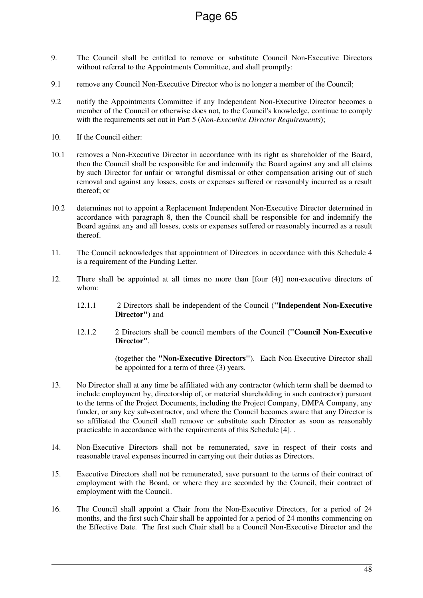- 9. The Council shall be entitled to remove or substitute Council Non-Executive Directors without referral to the Appointments Committee, and shall promptly:
- 9.1 remove any Council Non-Executive Director who is no longer a member of the Council;
- 9.2 notify the Appointments Committee if any Independent Non-Executive Director becomes a member of the Council or otherwise does not, to the Council's knowledge, continue to comply with the requirements set out in Part 5 (*Non-Executive Director Requirements*);
- 10. If the Council either:
- 10.1 removes a Non-Executive Director in accordance with its right as shareholder of the Board, then the Council shall be responsible for and indemnify the Board against any and all claims by such Director for unfair or wrongful dismissal or other compensation arising out of such removal and against any losses, costs or expenses suffered or reasonably incurred as a result thereof; or
- 10.2 determines not to appoint a Replacement Independent Non-Executive Director determined in accordance with paragraph 8, then the Council shall be responsible for and indemnify the Board against any and all losses, costs or expenses suffered or reasonably incurred as a result thereof.
- 11. The Council acknowledges that appointment of Directors in accordance with this Schedule 4 is a requirement of the Funding Letter.
- 12. There shall be appointed at all times no more than [four (4)] non-executive directors of whom:
	- 12.1.1 2 Directors shall be independent of the Council (**"Independent Non-Executive Director")** and
	- 12.1.2 2 Directors shall be council members of the Council (**"Council Non-Executive Director"**.

(together the **"Non-Executive Directors"**). Each Non-Executive Director shall be appointed for a term of three (3) years.

- 13. No Director shall at any time be affiliated with any contractor (which term shall be deemed to include employment by, directorship of, or material shareholding in such contractor) pursuant to the terms of the Project Documents, including the Project Company, DMPA Company, any funder, or any key sub-contractor, and where the Council becomes aware that any Director is so affiliated the Council shall remove or substitute such Director as soon as reasonably practicable in accordance with the requirements of this Schedule [4]. .
- 14. Non-Executive Directors shall not be remunerated, save in respect of their costs and reasonable travel expenses incurred in carrying out their duties as Directors.
- 15. Executive Directors shall not be remunerated, save pursuant to the terms of their contract of employment with the Board, or where they are seconded by the Council, their contract of employment with the Council.
- 16. The Council shall appoint a Chair from the Non-Executive Directors, for a period of 24 months, and the first such Chair shall be appointed for a period of 24 months commencing on the Effective Date. The first such Chair shall be a Council Non-Executive Director and the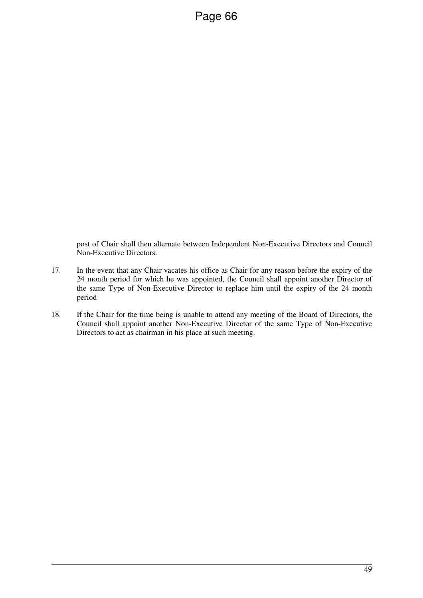post of Chair shall then alternate between Independent Non-Executive Directors and Council Non-Executive Directors.

- 17. In the event that any Chair vacates his office as Chair for any reason before the expiry of the 24 month period for which he was appointed, the Council shall appoint another Director of the same Type of Non-Executive Director to replace him until the expiry of the 24 month period
- 18. If the Chair for the time being is unable to attend any meeting of the Board of Directors, the Council shall appoint another Non-Executive Director of the same Type of Non-Executive Directors to act as chairman in his place at such meeting.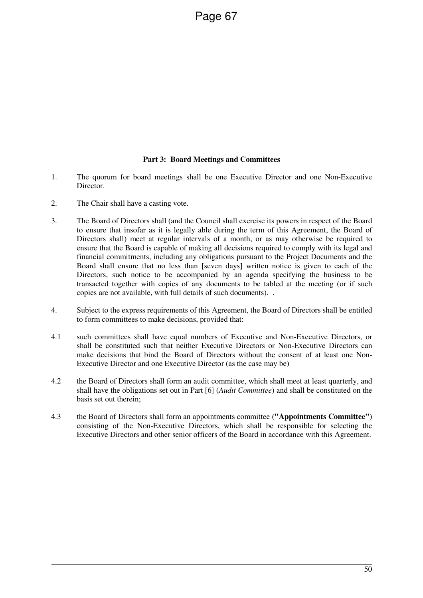## **Part 3: Board Meetings and Committees**

- 1. The quorum for board meetings shall be one Executive Director and one Non-Executive Director.
- 2. The Chair shall have a casting vote.
- 3. The Board of Directors shall (and the Council shall exercise its powers in respect of the Board to ensure that insofar as it is legally able during the term of this Agreement, the Board of Directors shall) meet at regular intervals of a month, or as may otherwise be required to ensure that the Board is capable of making all decisions required to comply with its legal and financial commitments, including any obligations pursuant to the Project Documents and the Board shall ensure that no less than [seven days] written notice is given to each of the Directors, such notice to be accompanied by an agenda specifying the business to be transacted together with copies of any documents to be tabled at the meeting (or if such copies are not available, with full details of such documents). .
- 4. Subject to the express requirements of this Agreement, the Board of Directors shall be entitled to form committees to make decisions, provided that:
- 4.1 such committees shall have equal numbers of Executive and Non-Executive Directors, or shall be constituted such that neither Executive Directors or Non-Executive Directors can make decisions that bind the Board of Directors without the consent of at least one Non-Executive Director and one Executive Director (as the case may be)
- 4.2 the Board of Directors shall form an audit committee, which shall meet at least quarterly, and shall have the obligations set out in Part [6] (*Audit Committee*) and shall be constituted on the basis set out therein;
- 4.3 the Board of Directors shall form an appointments committee (**"Appointments Committee"**) consisting of the Non-Executive Directors, which shall be responsible for selecting the Executive Directors and other senior officers of the Board in accordance with this Agreement.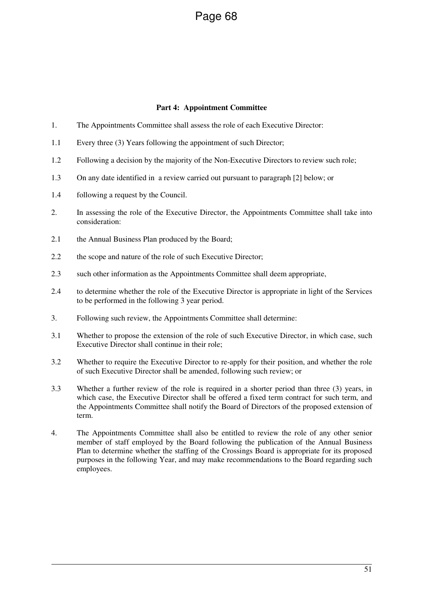## **Part 4: Appointment Committee**

- 1. The Appointments Committee shall assess the role of each Executive Director:
- 1.1 Every three (3) Years following the appointment of such Director;
- 1.2 Following a decision by the majority of the Non-Executive Directors to review such role;
- 1.3 On any date identified in a review carried out pursuant to paragraph [2] below; or
- 1.4 following a request by the Council.
- 2. In assessing the role of the Executive Director, the Appointments Committee shall take into consideration:
- 2.1 the Annual Business Plan produced by the Board;
- 2.2 the scope and nature of the role of such Executive Director;
- 2.3 such other information as the Appointments Committee shall deem appropriate,
- 2.4 to determine whether the role of the Executive Director is appropriate in light of the Services to be performed in the following 3 year period.
- 3. Following such review, the Appointments Committee shall determine:
- 3.1 Whether to propose the extension of the role of such Executive Director, in which case, such Executive Director shall continue in their role;
- 3.2 Whether to require the Executive Director to re-apply for their position, and whether the role of such Executive Director shall be amended, following such review; or
- 3.3 Whether a further review of the role is required in a shorter period than three (3) years, in which case, the Executive Director shall be offered a fixed term contract for such term, and the Appointments Committee shall notify the Board of Directors of the proposed extension of term.
- 4. The Appointments Committee shall also be entitled to review the role of any other senior member of staff employed by the Board following the publication of the Annual Business Plan to determine whether the staffing of the Crossings Board is appropriate for its proposed purposes in the following Year, and may make recommendations to the Board regarding such employees.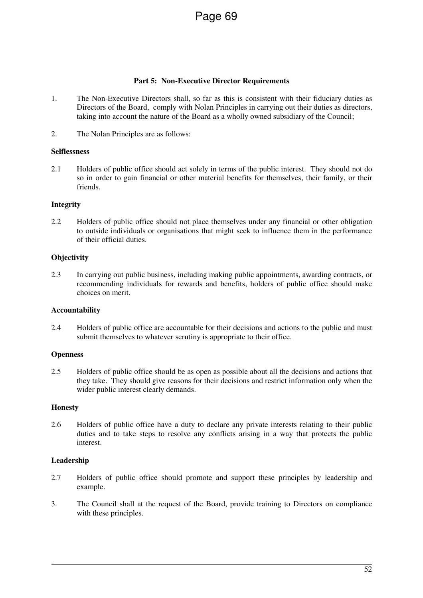## **Part 5: Non-Executive Director Requirements**

- 1. The Non-Executive Directors shall, so far as this is consistent with their fiduciary duties as Directors of the Board, comply with Nolan Principles in carrying out their duties as directors, taking into account the nature of the Board as a wholly owned subsidiary of the Council;
- 2. The Nolan Principles are as follows:

## **Selflessness**

2.1 Holders of public office should act solely in terms of the public interest. They should not do so in order to gain financial or other material benefits for themselves, their family, or their friends.

## **Integrity**

2.2 Holders of public office should not place themselves under any financial or other obligation to outside individuals or organisations that might seek to influence them in the performance of their official duties.

## **Objectivity**

2.3 In carrying out public business, including making public appointments, awarding contracts, or recommending individuals for rewards and benefits, holders of public office should make choices on merit.

#### **Accountability**

2.4 Holders of public office are accountable for their decisions and actions to the public and must submit themselves to whatever scrutiny is appropriate to their office.

#### **Openness**

2.5 Holders of public office should be as open as possible about all the decisions and actions that they take. They should give reasons for their decisions and restrict information only when the wider public interest clearly demands.

#### **Honesty**

2.6 Holders of public office have a duty to declare any private interests relating to their public duties and to take steps to resolve any conflicts arising in a way that protects the public interest.

#### **Leadership**

- 2.7 Holders of public office should promote and support these principles by leadership and example.
- 3. The Council shall at the request of the Board, provide training to Directors on compliance with these principles.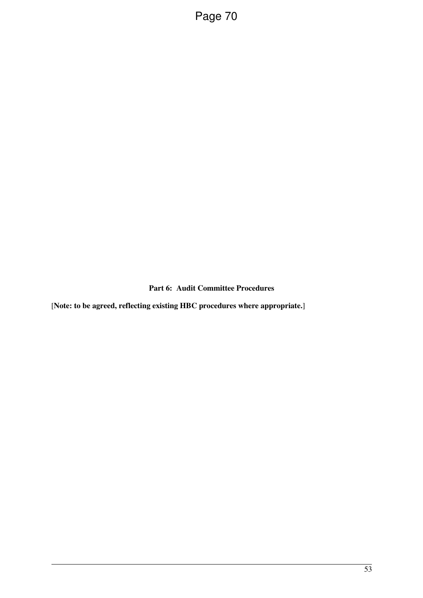**Part 6: Audit Committee Procedures** 

[**Note: to be agreed, reflecting existing HBC procedures where appropriate.**]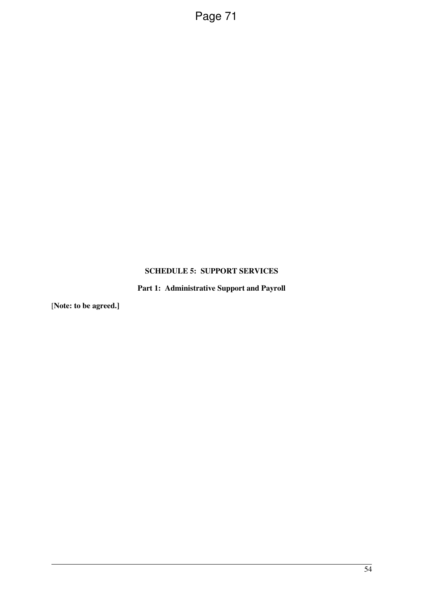## **SCHEDULE 5: SUPPORT SERVICES**

**Part 1: Administrative Support and Payroll**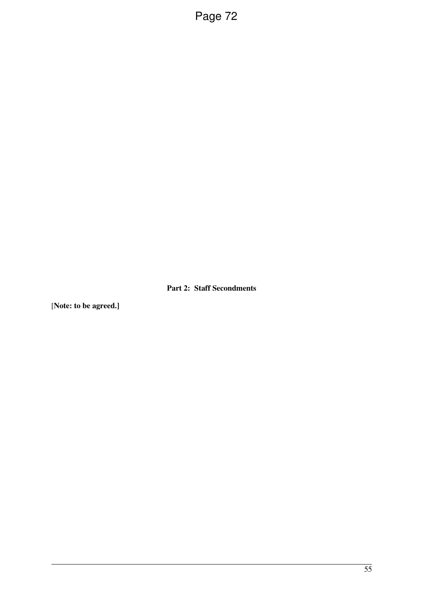**Part 2: Staff Secondments**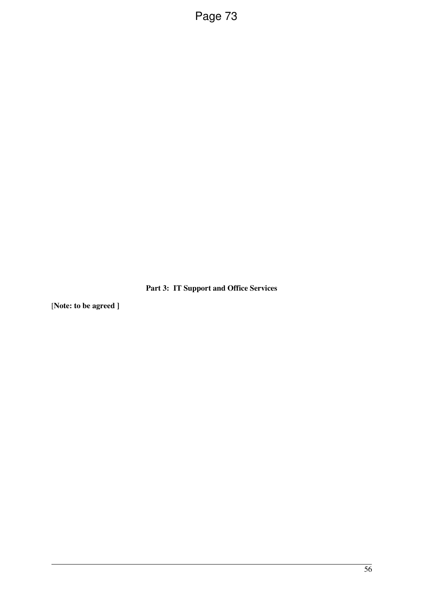**Part 3: IT Support and Office Services**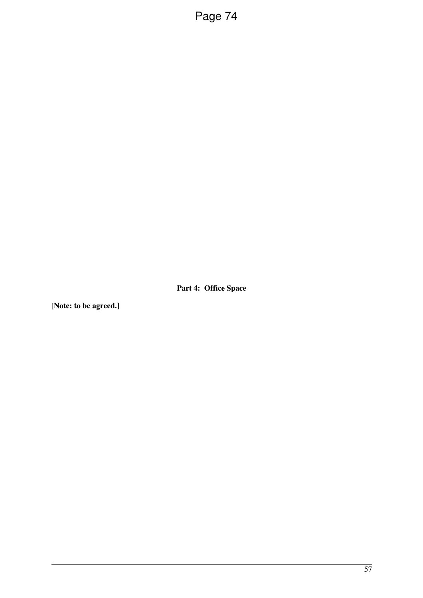**Part 4: Office Space**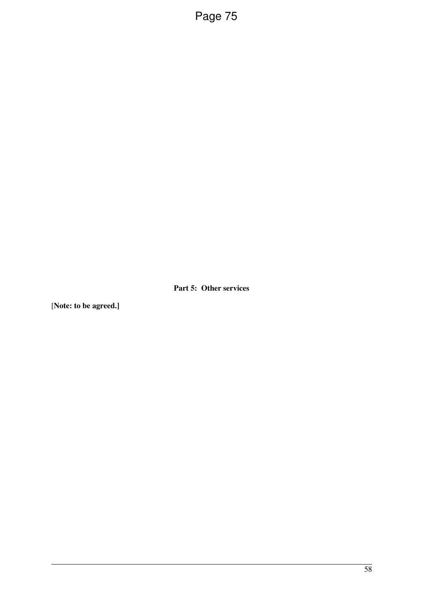**Part 5: Other services**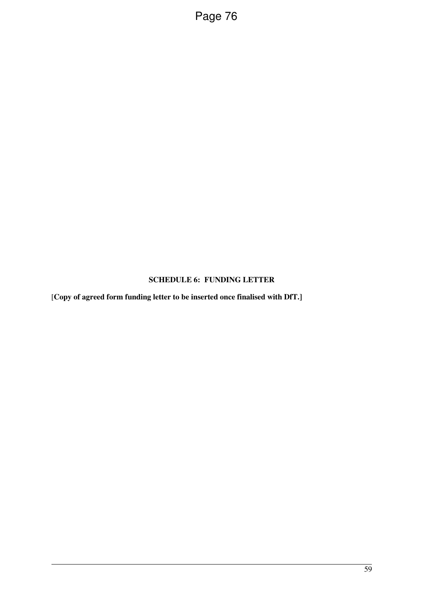## **SCHEDULE 6: FUNDING LETTER**

[**Copy of agreed form funding letter to be inserted once finalised with DfT.]**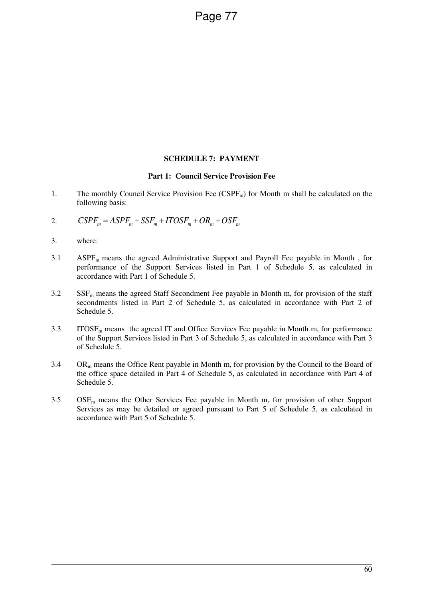#### **SCHEDULE 7: PAYMENT**

#### **Part 1: Council Service Provision Fee**

- 1. The monthly Council Service Provision Fee  $(CSPF_m)$  for Month m shall be calculated on the following basis:
- 2.  $CSPF_m = ASPF_m + SSF_m + ITOSF_m + OR_m + OSF_m$
- 3. where:
- 3.1 ASPF<sub>m</sub> means the agreed Administrative Support and Payroll Fee payable in Month, for performance of the Support Services listed in Part 1 of Schedule 5, as calculated in accordance with Part 1 of Schedule 5.
- $3.2$  SSF<sub>m</sub> means the agreed Staff Secondment Fee payable in Month m, for provision of the staff secondments listed in Part 2 of Schedule 5, as calculated in accordance with Part 2 of Schedule 5.
- $3.3$  ITOSF<sub>m</sub> means the agreed IT and Office Services Fee payable in Month m, for performance of the Support Services listed in Part 3 of Schedule 5, as calculated in accordance with Part 3 of Schedule 5.
- $3.4$  OR<sub>m</sub> means the Office Rent payable in Month m, for provision by the Council to the Board of the office space detailed in Part 4 of Schedule 5, as calculated in accordance with Part 4 of Schedule 5.
- $3.5$  OSF<sub>m</sub> means the Other Services Fee payable in Month m, for provision of other Support Services as may be detailed or agreed pursuant to Part 5 of Schedule 5, as calculated in accordance with Part 5 of Schedule 5.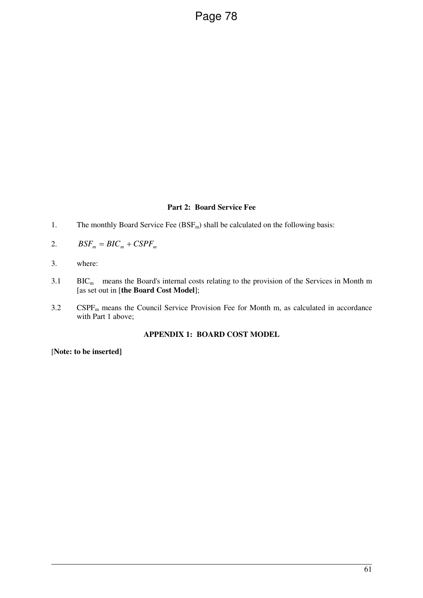#### **Part 2: Board Service Fee**

- 1. The monthly Board Service Fee  $(BSF_m)$  shall be calculated on the following basis:
- 2.  $BSF_m = BIC_m + CSPF_m$
- 3. where:
- $3.1$  BIC<sub>m</sub> means the Board's internal costs relating to the provision of the Services in Month m [as set out in [**the Board Cost Model**];
- 3.2 CSPF<sub>m</sub> means the Council Service Provision Fee for Month m, as calculated in accordance with Part 1 above;

#### **APPENDIX 1: BOARD COST MODEL**

[**Note: to be inserted]**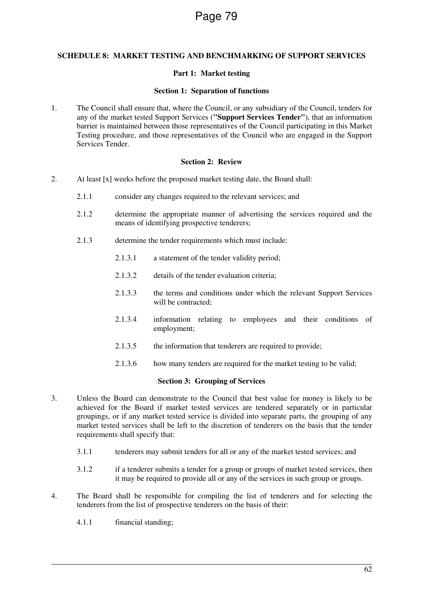#### **SCHEDULE 8: MARKET TESTING AND BENCHMARKING OF SUPPORT SERVICES**

#### **Part 1: Market testing**

#### **Section 1: Separation of functions**

1. The Council shall ensure that, where the Council, or any subsidiary of the Council, tenders for any of the market tested Support Services (**"Support Services Tender"**), that an information barrier is maintained between those representatives of the Council participating in this Market Testing procedure, and those representatives of the Council who are engaged in the Support Services Tender.

#### **Section 2: Review**

- 2. At least [x] weeks before the proposed market testing date, the Board shall:
	- 2.1.1 consider any changes required to the relevant services; and
	- 2.1.2 determine the appropriate manner of advertising the services required and the means of identifying prospective tenderers;
	- 2.1.3 determine the tender requirements which must include:
		- 2.1.3.1 a statement of the tender validity period;
		- 2.1.3.2 details of the tender evaluation criteria;
		- 2.1.3.3 the terms and conditions under which the relevant Support Services will be contracted:
		- 2.1.3.4 information relating to employees and their conditions of employment;
		- 2.1.3.5 the information that tenderers are required to provide;
		- 2.1.3.6 how many tenders are required for the market testing to be valid;

#### **Section 3: Grouping of Services**

- 3. Unless the Board can demonstrate to the Council that best value for money is likely to be achieved for the Board if market tested services are tendered separately or in particular groupings, or if any market tested service is divided into separate parts, the grouping of any market tested services shall be left to the discretion of tenderers on the basis that the tender requirements shall specify that:
	- 3.1.1 tenderers may submit tenders for all or any of the market tested services; and
	- 3.1.2 if a tenderer submits a tender for a group or groups of market tested services, then it may be required to provide all or any of the services in such group or groups.
- 4. The Board shall be responsible for compiling the list of tenderers and for selecting the tenderers from the list of prospective tenderers on the basis of their:
	- 4.1.1 financial standing;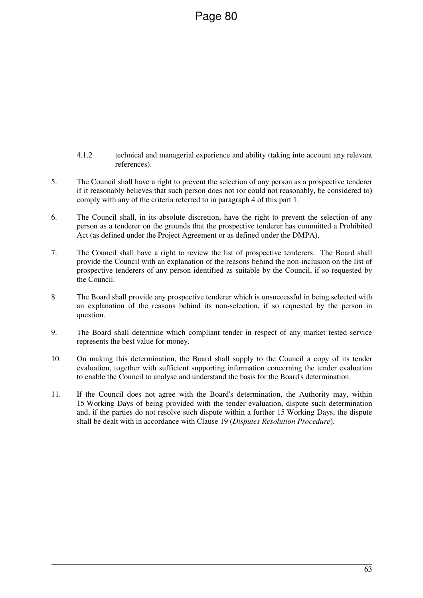- 4.1.2 technical and managerial experience and ability (taking into account any relevant references).
- 5. The Council shall have a right to prevent the selection of any person as a prospective tenderer if it reasonably believes that such person does not (or could not reasonably, be considered to) comply with any of the criteria referred to in paragraph 4 of this part 1.
- 6. The Council shall, in its absolute discretion, have the right to prevent the selection of any person as a tenderer on the grounds that the prospective tenderer has committed a Prohibited Act (as defined under the Project Agreement or as defined under the DMPA).
- 7. The Council shall have a right to review the list of prospective tenderers. The Board shall provide the Council with an explanation of the reasons behind the non-inclusion on the list of prospective tenderers of any person identified as suitable by the Council, if so requested by the Council.
- 8. The Board shall provide any prospective tenderer which is unsuccessful in being selected with an explanation of the reasons behind its non-selection, if so requested by the person in question.
- 9. The Board shall determine which compliant tender in respect of any market tested service represents the best value for money.
- 10. On making this determination, the Board shall supply to the Council a copy of its tender evaluation, together with sufficient supporting information concerning the tender evaluation to enable the Council to analyse and understand the basis for the Board's determination.
- 11. If the Council does not agree with the Board's determination, the Authority may, within 15 Working Days of being provided with the tender evaluation, dispute such determination and, if the parties do not resolve such dispute within a further 15 Working Days, the dispute shall be dealt with in accordance with Clause 19 (*Disputes Resolution Procedure*).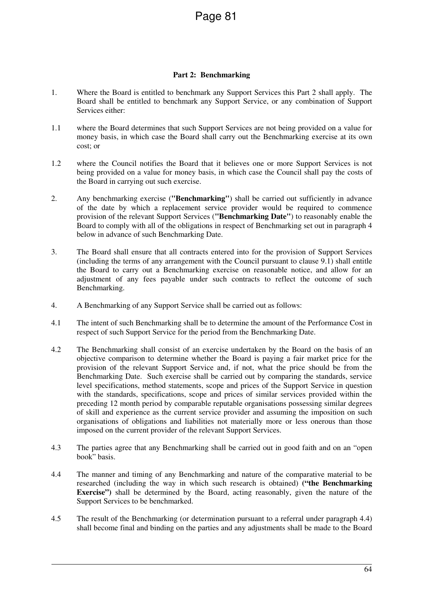#### **Part 2: Benchmarking**

- 1. Where the Board is entitled to benchmark any Support Services this Part 2 shall apply. The Board shall be entitled to benchmark any Support Service, or any combination of Support Services either:
- 1.1 where the Board determines that such Support Services are not being provided on a value for money basis, in which case the Board shall carry out the Benchmarking exercise at its own cost; or
- 1.2 where the Council notifies the Board that it believes one or more Support Services is not being provided on a value for money basis, in which case the Council shall pay the costs of the Board in carrying out such exercise.
- 2. Any benchmarking exercise (**"Benchmarking"**) shall be carried out sufficiently in advance of the date by which a replacement service provider would be required to commence provision of the relevant Support Services (**"Benchmarking Date"**) to reasonably enable the Board to comply with all of the obligations in respect of Benchmarking set out in paragraph 4 below in advance of such Benchmarking Date.
- 3. The Board shall ensure that all contracts entered into for the provision of Support Services (including the terms of any arrangement with the Council pursuant to clause 9.1) shall entitle the Board to carry out a Benchmarking exercise on reasonable notice, and allow for an adjustment of any fees payable under such contracts to reflect the outcome of such Benchmarking.
- 4. A Benchmarking of any Support Service shall be carried out as follows:
- 4.1 The intent of such Benchmarking shall be to determine the amount of the Performance Cost in respect of such Support Service for the period from the Benchmarking Date.
- 4.2 The Benchmarking shall consist of an exercise undertaken by the Board on the basis of an objective comparison to determine whether the Board is paying a fair market price for the provision of the relevant Support Service and, if not, what the price should be from the Benchmarking Date. Such exercise shall be carried out by comparing the standards, service level specifications, method statements, scope and prices of the Support Service in question with the standards, specifications, scope and prices of similar services provided within the preceding 12 month period by comparable reputable organisations possessing similar degrees of skill and experience as the current service provider and assuming the imposition on such organisations of obligations and liabilities not materially more or less onerous than those imposed on the current provider of the relevant Support Services.
- 4.3 The parties agree that any Benchmarking shall be carried out in good faith and on an "open book" basis.
- 4.4 The manner and timing of any Benchmarking and nature of the comparative material to be researched (including the way in which such research is obtained) **("the Benchmarking Exercise")** shall be determined by the Board, acting reasonably, given the nature of the Support Services to be benchmarked.
- 4.5 The result of the Benchmarking (or determination pursuant to a referral under paragraph 4.4) shall become final and binding on the parties and any adjustments shall be made to the Board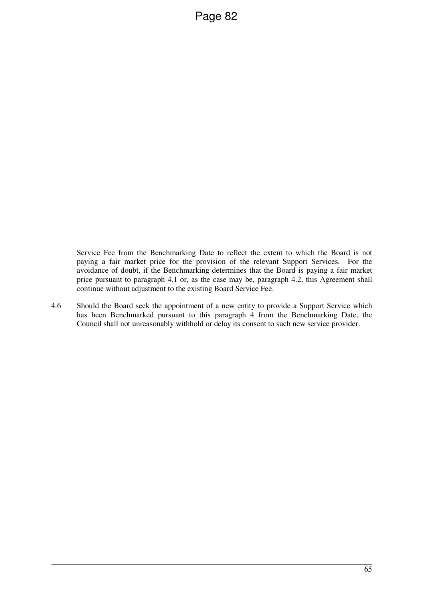Service Fee from the Benchmarking Date to reflect the extent to which the Board is not paying a fair market price for the provision of the relevant Support Services. For the avoidance of doubt, if the Benchmarking determines that the Board is paying a fair market price pursuant to paragraph 4.1 or, as the case may be, paragraph 4.2, this Agreement shall continue without adjustment to the existing Board Service Fee.

4.6 Should the Board seek the appointment of a new entity to provide a Support Service which has been Benchmarked pursuant to this paragraph 4 from the Benchmarking Date, the Council shall not unreasonably withhold or delay its consent to such new service provider.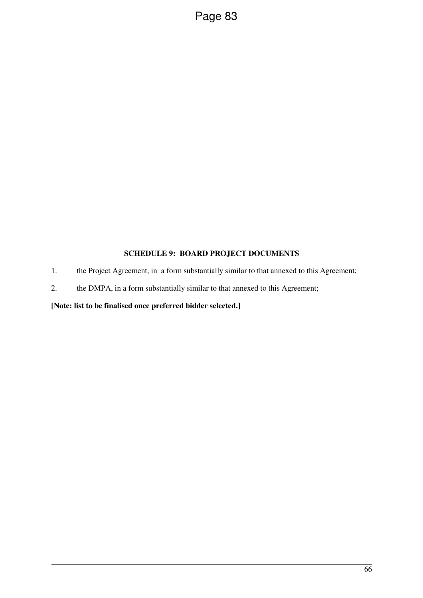## **SCHEDULE 9: BOARD PROJECT DOCUMENTS**

- 1. the Project Agreement, in a form substantially similar to that annexed to this Agreement;
- 2. the DMPA, in a form substantially similar to that annexed to this Agreement;

## **[Note: list to be finalised once preferred bidder selected.]**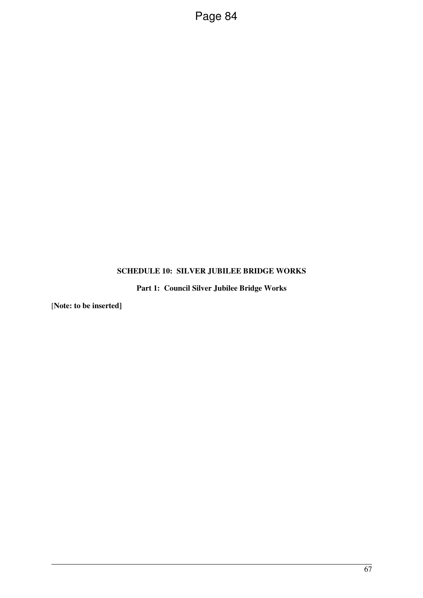## **SCHEDULE 10: SILVER JUBILEE BRIDGE WORKS**

**Part 1: Council Silver Jubilee Bridge Works** 

[**Note: to be inserted]**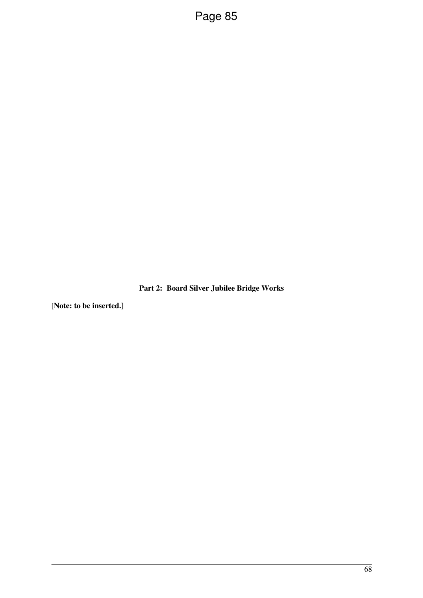**Part 2: Board Silver Jubilee Bridge Works** 

[**Note: to be inserted.]**